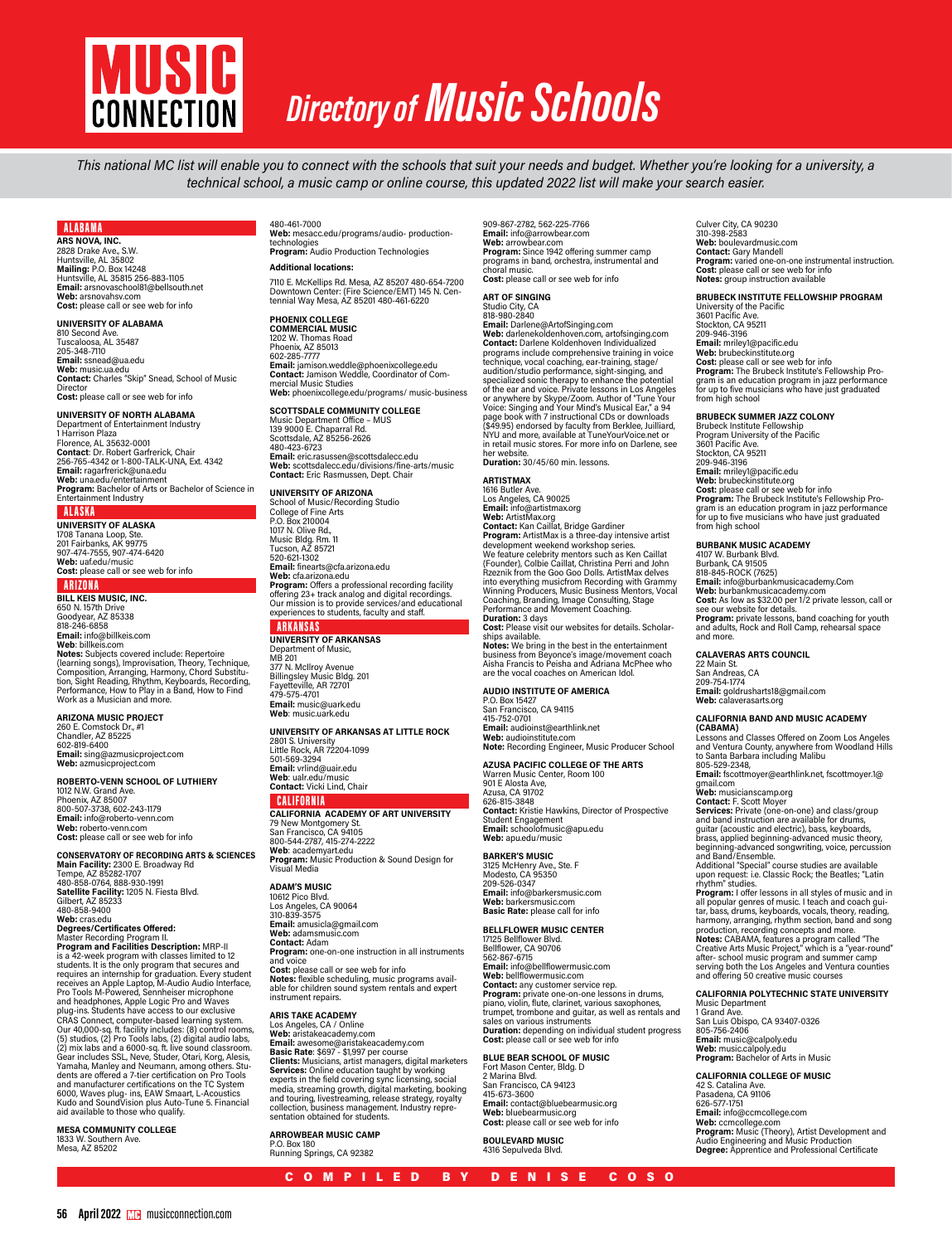

# *Directory of Music Schools*

This national MC list will enable you to connect with the schools that suit your needs and budget. Whether you're looking for a university, a technical school, a music camp or online course, this updated 2022 list will make your search easier.

#### ALABAMA

**ARS NOVA, INC.**<br>2828 Drake Ave., S.W. Huntsville, AL 35802 **Mailing:** P.O. Box 14248<br>Huntsville, AL 35815 256-883-1105 **Email:** arsnovaschool81@bellsouth.net **Web:** arsnovahsv.com **Cost:** please call or see web for info

#### **UNIVERSITY OF ALABAMA**

810 Second Ave. Tuscaloosa, AL 35487 205-348-7110 **Email:** ssnead@ua.edu **Web:** music.ua.edu **Contact:** Charles "Skip" Snead, School of Music Director **Cost:** please call or see web for info

#### **UNIVERSITY OF NORTH ALABAMA**

Department of Entertainment Industry 1 Harrison Plaza Florence, AL 35632-0001<br>**Contact**: Dr. Robert Garfrerick, Chair<br>256-765-4342 or 1-800-TALK-UNA, Ext. 4342 **Email:** ragarfrerick@una.edu<br>**Web:** una.edu/entertainment<br>**Program:** Bachelor of Arts or Bachelor of Science in<br>Entertainment Industry

#### **ALASKA**

**UNIVERSITY OF ALASKA**  1708 Tanana Loop, Ste. 201 Fairbanks, AK 99775 907-474-7555, 907-474-6420 **Web:** uaf.edu/music **Cost:** please call or see web for info

#### ARIZONA

**BILL KEIS MUSIC, INC.**  650 N. 157th Drive Goodyear, AZ 85338 818-246-6858 **Email:** info@billkeis.com Web: billkeis.com<br>Notes: Subjects covered include: Repertoire<br>(learning songs), Improvisation, Theory, Technique,<br>Composition, Arranging, Harmony, Chord Substitu-<br>tion, Sight Reading, Rhythm, Keyboards, Recording,<br>Performa Work as a Musician and m

**ARIZONA MUSIC PROJECT**<br>260 E. Comstock Dr., #1<br>Chandler, AZ 85225 602-819-6400 **Email:** sing@azmusicproject.com **Web:** azmusicproject.com

#### **ROBERTO-VENN SCHOOL OF LUTHIERY**

1012 N.W. Grand Ave. Phoenix, AZ 85007 800-507-3738, 602-243-1179 **Email:** info@roberto-venn.com **Web:** roberto-venn.com **Cost:** please call or see web for info

CONSERVATORY OF RECORDING ARTS & SCIENCES<br>Main Facility: 2300 E. Broadway Rd<br>Tempe, AZ 85282-1707<br>480-858-0764, 888-930-1991<br>**Satellite Facility:** 1205 N. Fiesta Blvd.<br>Gilbert, AZ 85233

480-858-9400 **Web:** cras.edu **Degrees/Certificates Offered:** 

Master Recording Program II. **Program and Facilities Description:** MRP-II is a 42-week program with classes limited to 12<br>students. It is the only program that secures and<br>requires an Apple Laptop, M-Audio Audio Interface,<br>receives an Apple Laptop, M-Audio Audio Interface,<br>Pro Tools M-Powered, S and headphones, Apple Logic Pro and Waves plug-ins. Students have access to our exclusive CRAS Connect, computer-based learning system. Our 40,000-sq. ft. facility includes: (8) control rooms,<br>(5) studios, (2) Pro Tools labs, (2) digital audio labs,<br>(2) mix labs and a 6000-sq. ft. live sound classroom.<br>Gear includes SSL, Neve, Studer, Otari, Korg, Alesis,<br> and manufacturer certifications on the TC System 6000, Waves plug- ins, EAW Smaart, L-Acoustics Kudo and SoundVision plus Auto-Tune 5. Financial aid available to those who qualify.

**MESA COMMUNITY COLLEGE**  1833 W. Southern Ave. Mesa, AZ 85202

480-461-7000 **Web:** mesacc.edu/programs/audio- productiontechnologies **Program:** Audio Production Technologies

#### **Additional locations:**

7110 E. McKellips Rd. Mesa, AZ 85207 480-654-7200 Downtown Center: (Fire Science/EMT) 145 N. Cen- tennial Way Mesa, AZ 85201 480-461-6220

### **PHOENIX COLLEGE COMMERCIAL MUSIC**

1202 W. Thomas Road Phoenix, AZ 85013<br>602-285-7777<br>**Email:** jamison.weddle@phoenixcollege.edu **Contact:** Jamison Weddle, Coordinator of Com-mercial Music Studies **Web:** phoenixcollege.edu/programs/ music-business

## **SCOTTSDALE COMMUNITY COLLEGE** Music Department Office – MUS 139 9000 E. Chaparral Rd. Scottsdale, AZ 85256-2626<br>480-423-6723<br>**Email:** eric.rasussen@scottsdalecc.edu<br>**Web:** scottsdalecc.edu/divisions/fine-arts/music **Contact:** Eric Rasmussen, Dept. Chair

**UNIVERSITY OF ARIZONA** 

School of Music/Recording Studio College of Fine Arts<br>P.O. Box 210004 P.O. Box 210004 1017 N. Olive Rd., Music Bldg. Rm. 11 Tucson, AZ 85721 520-621-1302 **Email:** finearts@cfa.arizona.edu<br>**Web:** cfa.arizona.edu<br>**Program:** Offers a professional recording facility<br>offering 23+ track analog and digital recordings.<br>Our mission is to provide services/and educational experiences to students, faculty and staff.

#### ARKANSAS **UNIVERSITY OF ARKANSAS**

Department of Music, MB 201 377 N. McIlroy Avenue Billingsley Music Bldg. 201 Fayetteville, AR 72701 479-575-4701 **Email:** music@uark.edu **Web**: music.uark.edu

### **UNIVERSITY OF ARKANSAS AT LITTLE ROCK**

2801 S. University Little Rock, AR 72204-1099 501-569-3294 **Email:** vrlind@uair.edu

## **Web**: ualr.edu/music **Contact:** Vicki Lind, Chair

**CALIFORNIA CALIFORNIA ACADEMY OF ART UNIVERSITY**  79 New Montgomery St. San Francisco, CA 94105 800-544-2787, 415-274-2222 **Web**: academyart.edu **Program:** Music Production & Sound Design for Visual Media

#### **ADAM'S MUSIC**

10612 Pico Blvd. Los Angeles, CA 90064 310-839-3575 **Email:** amusicla@gmail.com<br>**Web:** adamsmusic.com<br>**Contact:** Adam

**Program:** one-on-one instruction in all instruments and voice<br>**Cost:** please call or see web for info<br>**Notes:** flexible scheduling, music programs avail-<br>able for children sound system rentals and expert

## instrument repairs. **ARIS TAKE ACADEMY**<br>Los Angeles, CA / Online<br>**Web:** aristakeacademy.com<br>**Email:** awesome@aristakeacademy.com

**Basic Rate**: \$697 - \$1,997 per course **Clients:** Musicians, artist managers, digital marketers **Services:** Online education taught by working experts in the field covering sync licensing, social<br>media, streaming growth, digital marketing, booking<br>and touring, livestreaming, release strategy, royalty<br>collection, business management. Industry repre-<br>sentation obta

**ARROWBEAR MUSIC CAMP**  P.O. Box 180 Running Springs, CA 92382

909-867-2782, 562-225-7766 **Email:** info@arrowbear.com<br>**Web:** arrowbear.com<br>**Program:** Since 1942 offering summer camp<br>programs in band, orchestra, instrumental and choral music. **Cost:** please call or see web for info

**ART OF SINGING**  Studio City, CA 818-980-2840

**Email:** Darlene@ArtofSinging.com<br>**Web:** darlenekoldenhoven.com, artofsinging.com<br>**Contact:** Darlene Koldenhoven Individualized<br>programs include comprehensive training in voice<br>technique, vocal coaching, ear-training, sta audition/studio performance, sight-singing, and<br>specialized sonic therapy to enhance the potential<br>of the ear and voice. Private lessons in Los Angeles<br>or anywhere by Skype/Zoom. Author of "Tune Your<br>Voice: Singing and You (\$49.95) endorsed by faculty from Berklee, Juilliard,<br>NYU and more, available at TuneYourVoice.net or<br>in retail music stores. For more info on Darlene, see her website.

**Duration:** 30/45/60 min. lessons.

## **ARTISTMAX**

1616 Butler Ave.<br>Los Angeles, CA 90025<br>**Email**: info@artistmax.org<br>**Web:** ArtistMax.org<br>**Contact:** Kan Caillat, Bridge Gardiner<br>**Program:** ArtistMax is a three-day intensive artist development weekend workshop series. We feature celebrity mentors such as Ken Caillat (Founder), Colbie Caillat, Christina Perri and John Rzeznik from the Goo Goo Dolls. ArtistMax delves into everything musicfrom Recording with Grammy Winning Producers, Music Business Mentors, Vocal Coaching, Branding, Image Consulting, Stage Performance and Movement Coaching.

**Duration:** 3 days<br>**Cost:** Please visit our websites for details. Scholar-<br>ships available.

**Notes:** We bring in the best in the entertainment business from Beyonce's image/movement coach Aisha Francis to Peisha and Adriana McPhee who are the vocal coaches on American Idol.

#### **AUDIO INSTITUTE OF AMERICA**

P.O. Box 15427 San Francisco, CA 94115 415-752-0701 **Email:** audioinst@earthlink.net **Web:** audioinstitute.com **Note:** Recording Engineer, Music Producer School

## **AZUSA PACIFIC COLLEGE OF THE ARTS**

Warren Music Center, Room 100 901 E Alosta Ave, Azusa, CA 91702 626-815-3848 **Contact:** Kristie Hawkins, Director of Prospective Student Engagement<br>**Email:** schoolofmusic@apu.edu<br>**Web:** apu.edu/music

**BARKER'S MUSIC**  3125 McHenry Ave., Ste. F Modesto, CA 95350 209-526-0347 **Email:** info@barkersmusic.com **Web:** barkersmusic.com **Basic Rate:** please call for info

**BELLFLOWER MUSIC CENTER**  17125 Bellflower Blvd. Bellflower, CA 90706 562-867-6715 **Email:** info@bellflowermusic.com **Web:** bellflowermusic.com **Contact:** any customer service rep.<br>**Program:** private one-on-one lessons in drums,<br>piano, violin, flute, clarinet, various saxophones,<br>trumpet, trombone and guitar, as well as rentals and sales on various instruments **Duration:** depending on individual student progress **Cost:** please call or see web for info

#### **BLUE BEAR SCHOOL OF MUSIC**

Fort Mason Center, Bldg. D 2 Marina Blvd. San Francisco, CA 94123 415-673-3600 **Email:** contact@bluebearmusic.org **Web:** bluebearmusic.org **Cost:** please call or see web for info

**BOULEVARD MUSIC** 4316 Sepulveda Blvd.

COMPILED BY DENISE COSO

## Culver City, CA 90230 310-398-2583 **Web:** boulevardmusic.com **Contact:** Gary Mandell **Program:** varied one-on-one instrumental instruction. **Cost:** please call or see web for info **Notes:** group instruction available

**BRUBECK INSTITUTE FELLOWSHIP PROGRAM**

University of the Pacific 3601 Pacific Ave. Stockton, CA 95211<br>209-946-3196 209-946-3196 **Email:** mriley1@pacific.edu **Web:** brubeckinstitute.org **Cost:** please call or see web for info **Program:** The Brubeck Institute's Fellowship Pro-<br>gram is an education program in jazz performance<br>for up to five musicians who have just graduated<br>from high school

#### **BRUBECK SUMMER JAZZ COLONY**

Brubeck Institute Fellowship Program University of the Pacific 3601 Pacific Ave. Stockton, CA 95211 209-946-3196 **Email:** mriley1@pacific.edu **Web:** brubeckinstitute.org **Cost:** please call or see web for info **Program:** The Brubeck Institute's Fellowship Program is an education program in jazz performance for up to five musicians who have just graduated from high school

### **BURBANK MUSIC ACADEMY**<br>4107 W. Burbank Blvd

4107 W. Burbank Blvd. Burbank, CA 91505 818-845-ROCK (7625) Email: info@burbankmusicacademy.Com<br>Web: burbankmusicacademy.com<br>Cost: As low as \$32.00 per 1/2 private lesson, call or<br>Program: private lessons, band coaching for youth<br>Program: private lessons, band coaching for youth<br>an and more.

#### **CALAVERAS ARTS COUNCIL**

22 Main St. San Andreas, CA 209-754-1774 **Email:** goldrusharts18@gmail.com **Web:** calaverasarts.org

CALIFORNIA BAND AND MUSIC ACADEMY<br>(CABAMA)<br>Lessons and Classes Offered on Zoom Los Angeles<br>and Ventura County, anywhere from Woodland Hills<br>to Santa Barbara including Malibu<br>805-529-2348,

**Email:** fscottmoyer@earthlink.net, fscottmoyer.1@ gmail.com **Web:** musicianscamp.org **Contact:** F. Scott Moyer **Services:** Private (one-on-one) and class/group and band instruction are available for drums, guitar (acoustic and electric), bass, keyboards, brass, applied beginning-advanced music theory,

beginning-advanced songwriting, voice, percussion<br>and Band/Ensemble.<br>Additional "Special" course studies are available<br>upon request: i.e. Classic Rock; the Beatles; "Latin

rhythm" studies.<br>**Program:** I offer lessons in all styles of music and in<br>**all popular genres of music. I teach and coach gui-<br>tar, bass, drums, keyboards, vocals, theory, reading,<br>harmony, arranging, rhythm section, band** production, recording concepts and more.<br>Notes: CABAMA, features a program called "The<br>Creative Arts Music Project," which is a "year-round"<br>after- school music program and summer camp<br>serving both the Los Angeles and Vent

## **CALIFORNIA POLYTECHNIC STATE UNIVERSITY** Music Department 1 Grand Ave.

San Luis Obispo, CA 93407-0326 805-756-2406 **Email:** music@calpoly.edu **Web:** music.calpoly.edu **Program:** Bachelor of Arts in Music

**CALIFORNIA COLLEGE OF MUSIC** 

42 S. Catalina Ave. Pasadena, CA 91106 626-577-1751 **Email:** info@ccmcollege.com **Web:** ccmcollege.com **Program:** Music (Theory), Artist Development and Audio Engineering and Music Production **Degree:** Apprentice and Professional Certificate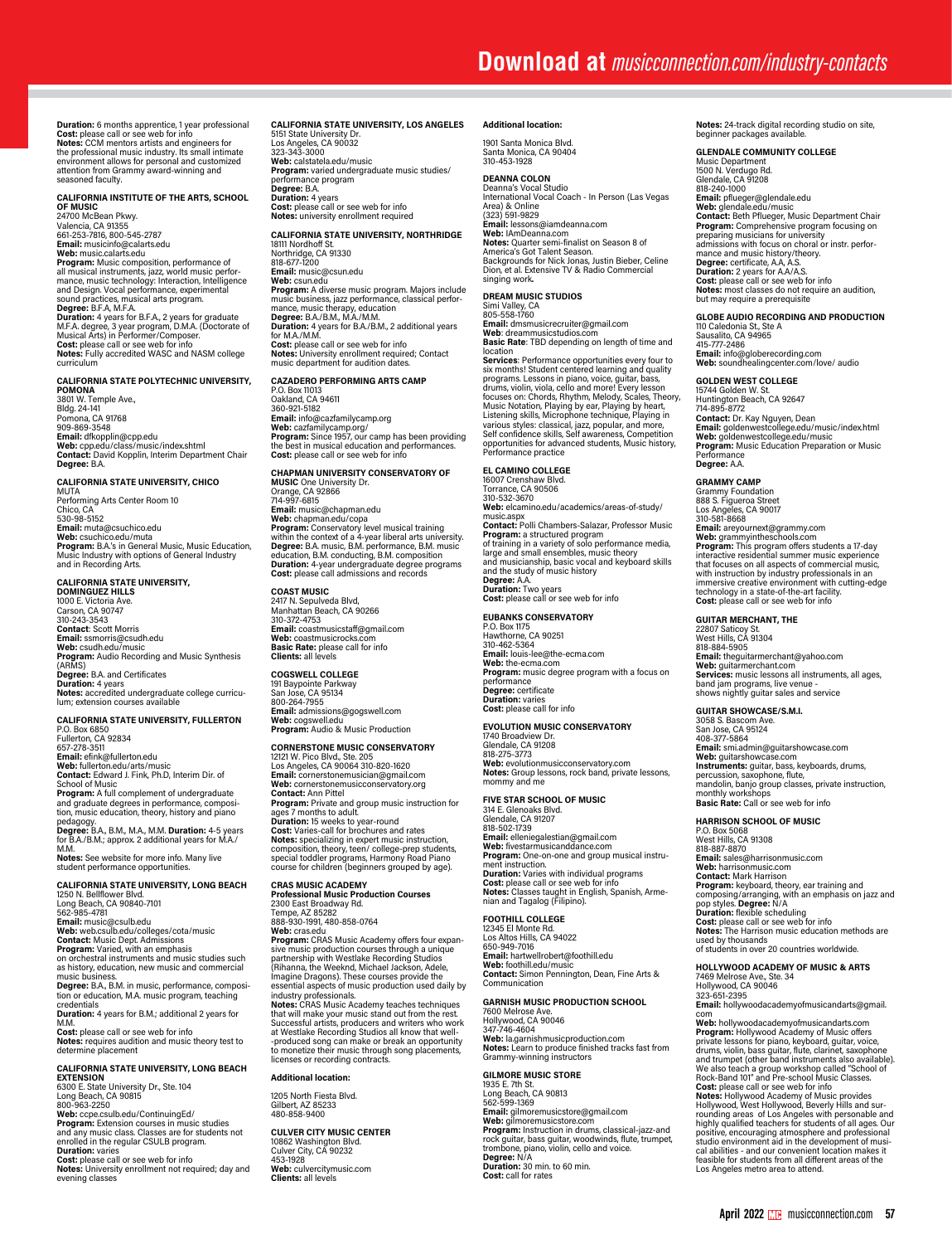**Duration:** 6 months apprentice, 1 year professional **Cost:** please call or see web for info **Notes:** CCM mentors artists and engineers for<br>the professional music industry. Its small intimate<br>environment allows for personal and customized<br>attention from Grammy award-winning and seasoned faculty.

**CALIFORNIA INSTITUTE OF THE ARTS, SCHOOL OF MUSIC** 24700 McBean Pkwy. Valencia, CA 91355<br>661-253-7816, 800-545-2787<br>**Email:** musicinfo@calarts.edu<br>**Web:** music.calarts.edu<br>**Program:** Music composition, performance of all musical instruments, jazz, world music perfor-<br>mance, music technology: Interaction, Intelligence<br>and Design. Vocal performance, experimental<br>sound practices, musical arts program. **Degre**e: B.F.A, M.F.A,<br>**Duration:** 4 years for B.F.A, 2 years for graduate<br>M.F.A degree, 3 year program, D.M.A. (Doctorate of<br>Musical Arts) in Performer/Composer.<br>**Cost:** please call or see web for info<br>**Notes:** Fully acc

### **CALIFORNIA STATE POLYTECHNIC UNIVERSITY, POMONA**

3801 W. Temple Ave., Bldg. 24-141 Pomona, CA 91768 909-869-3548 **Email:** dfkopplin@cpp.edu **Web:** cpp.edu/class/music/index.shtml **Contact:** David Kopplin, Interim Department Chair **Degree:** B.A.

### **CALIFORNIA STATE UNIVERSITY, CHICO** MUTA

Performing Arts Center Room 10 Chico, CA 530-98-5152 **Email:** muta@csuchico.edu **Web:** csuchico.edu/muta<br>**Program:** B.A.'s in General Music, Music Education,<br>Music Industry with options of General Industry<br>and in Recording Arts.

**CALIFORNIA STATE UNIVERSITY, DOMINGUEZ HILLS** 1000 E. Victoria Ave. Carson, CA 90747 310-243-3543<br>Contact: Scott Morris **Contac**t: Scott Morris<br>**Email:** ssmorris@csudh.edu<br>**Web:** csudh.edu/music<br>**Program:** Audio Recording and Music Synthesis<br>(ARMS) **Degree:** B.A. and Certificates<br>**Duration:** 4 years<br>**Notes:** accredited undergraduate college curricu-<br>lum; extension courses available

**CALIFORNIA STATE UNIVERSITY, FULLERTON** P.O. Box 6850 Fullerton, CA 92834 657-278-3511

**Email:** efink@fullerton.edu **Web:** fullerton.edu/arts/music **Contact:** Edward J. Fink, Ph.D, Interim Dir. of School of Music **Program:** A full complement of undergraduate and graduate degrees in performance, composi-tion, music education, theory, history and piano pedagogy.<br>**Degree:** B.A., B.M., M.A., M.M. **Duration:** 4-5 years<br>for B.A./B.M.; approx. 2 additional years for M.A./<br>M.M.

**Notes:** See website for more info. Many live student performance opportunities.

## **CALIFORNIA STATE UNIVERSITY, LONG BEACH**

1250 N. Bellflower Blvd. Long Beach, CA 90840-7101 562-985-4781 **Email:** music@csulb.edu **Web:** web.csulb.edu/colleges/cota/music **Contact:** Music Dept. Admissions **Program:** Varied, with an emphasis on orchestral instruments and music studies such as history, education, new music and commercial music business. **Degree:** B.A., B.M. in music, performance, composi-tion or education, M.A. music program, teaching

credentials **Duration:** 4 years for B.M.; additional 2 years for M.M.

**Cost:** please call or see web for info **Notes:** requires audition and music theory test to determine placement

## **CALIFORNIA STATE UNIVERSITY, LONG BEACH EXTENSION** 6300 E. State University Dr., Ste. 104

Long Beach, CA 90815

800-963-2250<br>**Web:** ccpe.csulb.edu/ContinuingEd/<br>**Program**: Extension courses in music studies<br>and any music class. Classes are for students not enrolled in the regular CSULB program.<br>Duration: varies

**Duration:** varies<br>**Cost:** please call or see web for info<br>**Notes:** University enrollment not required; day and<br>evening classes

#### **CALIFORNIA STATE UNIVERSITY, LOS ANGELES** 5151 State University Dr.

Los Angeles, CA 90032 323-343-3000 **Web:** calstatela.edu/music **Program:** varied undergraduate music studies/ performance program<br>**Degree:** B.A.<br>**Curation:** 4 years<br>**Cost:** please call or see web for info<br>**Notes:** university enrollment required

### **CALIFORNIA STATE UNIVERSITY, NORTHRIDGE**

18111 Nordhoff St. Northridge, CA 91330 818-677-1200 **Email:** music@csun.edu<br>**Web:** csun.edu<br>**Program**: A diverse music program. Majors include<br>music business, jazz performance, classical performance, music therapy, education<br>**Degre**e: B.A./B.M., M.A./M.M.<br>**Duration**: 4 years for B.A./B.M., 2 additional years<br>for M.A./M.M. **Cost:** please call or see web for info **Notes:** University enrollment required; Contact music department for audition dates.

### **CAZADERO PERFORMING ARTS CAMP**

P.O. Box 11013 Oakland, CA 94611 360-921-5182<br>**Email:** info@cazfamilycamp.org<br>**Web:** cazfamilycamp.org/<br>**Program:** Since 1957, our camp has been providing the best in musical education and performances. **Cost:** please call or see web for info

#### **CHAPMAN UNIVERSITY CONSERVATORY OF**

**MUSIC** One University Dr. Orange, CA 92866 714-997-6815<br>**Email:** music@chapman.edu<br>**Web:** chapman.edu/copa<br>**Program:** Conservatory level musical training<br>**Program:** Conservatory level musical arts university.<br>**Degre**e: B.A. music, B.M. performance, B.M.<br>education:

**COAST MUSIC**<br>2417 N. Sepulveda Blvd,<br>Manhattan Beach, CA 90266 310-372-4753 **Email:** coastmusicstaff@gmail.com **Web:** coastmusicrocks.com **Basic Rate:** please call for info **Clients:** all levels

**COGSWELL COLLEGE**  191 Baypointe Parkway San Jose, CA 95134 800-264-7955 **Email:** admissions@gogswell.com **Web:** cogswell.edu **Program:** Audio & Music Production

### **CORNERSTONE MUSIC CONSERVATORY**

12121 W. Pico Blvd., Ste. 205<br>Los Angeles, CA 90064 310-820-1620<br>**Email:** cornerstonemusician@gmail.com<br>**Web:** cornerstonemusicconservatory.org **Contact:** Ann Pittel **Program:** Private and group music instruction for ages 7 months to adult. **Duration:** 15 weeks to year-round<br>**Cost:** Varies-call for brochures and rates<br>**Notes:** specializing in expert music instruction,<br>composition, theory, teen/college-prep students,<br>special toddler programs, Harmony Road Pian

### **CRAS MUSIC ACADEMY**

**Professional Music Production Courses**<br>2300 East Broadway Rd.<br>Tempe, AZ 85282 888-930-1991, 480-858-0764<br>Web: crassed<br>Web: crassed<br>Program: CRAS Music Academy offers four expansions<br>partnership with Westlake Recording Studios<br>partnership with Westlake Recording Studios<br>ling(Rihanna, the Weeknd, Mich

#### **Additional location:**

1205 North Fiesta Blvd. Gilbert, AZ 85233 480-858-9400

**CULVER CITY MUSIC CENTER** 10862 Washington Blvd. Culver City, CA 90232 453-1928 **Web:** culvercitymusic.com **Clients:** all levels

#### **Additional location:**

1901 Santa Monica Blvd. Santa Monica, CA 90404 310-453-1928

#### **DEANNA COLON**

Deanna's Vocal Studio International Vocal Coach - In Person (Las Vegas Area) & Online (323) 591-9829 **Email:** lessons@iamdeanna.com **Web:** IAmDeanna.com<br>**Notes:** Quarter semi-finalist on Season 8 of<br>America's Got Talent Season.<br>Backgrounds for Nick Jonas, Justin Bieber, Celine<br>Dion, et al. Extensive TV & Radio Commercial singing work**.** 

**DREAM MUSIC STUDIOS**  Simi Valley, CA 805-558-1760 **Email:** dmsmusicrecruiter@gmail.com **Web**: dreammusicstudios.com **Basic Rate**: TBD depending on length of time and

location **Services**: Performance opportunities every four to six months! Student centered learning and quality programs. Lessons in piano, voice, guitar, bass,<br>drums, violin, viola, cello and more! Every lesson<br>focuses on: Chords, Rhythm, Melody, Scales, Theory,<br>Music Notation, Playing by ear, Playing by heart,<br>Listening skills, Mi various styles: classical, jazz, popular, and more, Self confidence skills, Self awareness, Competition opportunities for advanced students, Music history, Performance practice

### **EL CAMINO COLLEGE**

16007 Crenshaw Blvd. Torrance, CA 90506 310-532-3670 **Web:** elcamino.edu/academics/areas-of-study/ music.aspx **Contact:** Polli Chambers-Salazar, Professor Music **Program:** a structured program<br>of training in a variety of solo performance media,<br>large and small ensembles, music theory<br>and musicianship, basic vocal and keyboard skills and the study of music history **Degree:** A.A. **Duration:** Two years **Cost:** please call or see web for info

**EUBANKS CONSERVATORY**<br>P.O. Box 1175<br>Hawthorne, CA 90251

310-462-5364 **Email:** louis-lee@the-ecma.com **Web:** the-ecma.com **Program:** music degree program with a focus on performance<br>Degree: certificate **Degree:** certificate **Duration:** varies **Cost:** please call for info

## **EVOLUTION MUSIC CONSERVATORY**<br>1740 Broadview Dr.

1740 Broadview Dr.<br>Glendale, CA 91208<br>818-275-3773<br>**Web:** evolutionmusicconservatory.com **Notes:** Group lessons, rock band, private lessons, mommy and me

**FIVE STAR SCHOOL OF MUSIC**  314 E. Glenoaks Blvd. Glendale, CA 91207 818-502-1739 **Email:** elleniegalestian@gmail.com **Web:** fivestarmusicanddance.com Program: One-on-one and group musical instru-<br>ment instruction. ment instruction.<br>**Duration:** Varies with individual programs<br>**Cost:** please call or see web for info<br>**Notes:** Classes taught in English, Spanish, Arme-<br>nian and Tagalog (Filipino).

#### **FOOTHILL COLLEGE**

12345 El Monte Rd. Los Altos Hills, CA 94022 650-949-7016 **Email:** hartwellrobert@foothill.edu **Web:** foothill.edu/music **Contact:** Simon Pennington, Dean, Fine Arts & Communication

#### **GARNISH MUSIC PRODUCTION SCHOOL**

7600 Melrose Ave. Hollywood, CA 90046 347-746-4604 **Web:** la.garnishmusicproduction.com **Notes:** Learn to produce finished tracks fast from Grammy-winning instructors

#### **GILMORE MUSIC STORE**

1935 E. 7th St. Long Beach, CA 90813 562-599-1369 **Email:** gilmoremusicstore@gmail.com **Web:** gilmoremusicstore.com **Program:** Instruction in drums, classical-jazz-and<br>rock guitar, bass guitar, woodwinds, flute, trumpet,<br>trombone, piano, violin, cello and voice. **Degree:** N/A **Duration:** 30 min. to 60 min. **Cost:** call for rates

**Notes:** 24-track digital recording studio on site, beginner packages available.

#### **GLENDALE COMMUNITY COLLEGE**

Music Department 1500 N. Verdugo Rd. Glendale, CA 91208<br>818-240-1000 818-240-1000<br>**Email:** pflueger@glendale.edu<br>**Web:** glendale.edu/music<br>**Contact:** Beth Pflueger, Music Department Chair **Program:** Comprehensive program focusing on<br>preparing musicians for university<br>admissions with focus on choral or instr. perfor-<br>mance and music history/theory.<br>**Degree:** certificate, A.A, A.S. **Duration:** 2 years for A.A/A.S.<br>**Cost:** please call or see web for info<br>**Notes:** most classes do not require an audition,<br>but may require a prerequisite

## **GLOBE AUDIO RECORDING AND PRODUCTION<br>110 Caledonia St., Ste A<br>Sausalito, CA 94965**

415-777-2486 **Email:** info@globerecording.com **Web:** soundhealingcenter.com/love/ audio

**GOLDEN WEST COLLEGE**  15744 Golden W. St. Huntington Beach, CA 92647 714-895-8772<br>**Contact:** Dr. Kay Nguyen, Dean<br>**Email:** goldenwestcollege.edu/music/index.html<br>**Web:** goldenwestcollege.edu/music<br>**Program:** Music Education Preparation or Music Performance **Degree:** A.A.

**GRAMMY CAMP**  Grammy Foundation 888 S. Figueroa Street Los Angeles, CA 90017 310-581-8668 **Email:** areyournext@grammy.com **Web:** grammyintheschools.com **Program:** This program offers students a 17-day interactive residential summer music experience that focuses on all aspects of commercial music, with instruction by industry professionals in an<br>immersive creative environment with cutting-edge<br>technology in a state-of-the-art facility.<br>**Cost:** please call or see web for info

#### **GUITAR MERCHANT, THE**

22807 Saticoy St. West Hills, CA 91304 818-884-5905 **Email:** theguitarmerchant@yahoo.com **Web:** guitarmerchant.com **Services:** music lessons all instruments, all ages,<br>band jam programs, live venue -<br>shows nightly guitar sales and service

#### **GUITAR SHOWCASE/S.M.I.**

3058 S. Bascom Ave. San Jose, CA 95124 408-377-5864 **Email:** smi.admin@guitarshowcase.com **Web:** guitarshowcase.com<br>**Instruments:** guitar, bass, keyboards, drums,<br>percussion, saxophone, flute,<br>mandolin, banjo group classes, private instruction, monthly workshops **Basic Rate:** Call or see web for info

#### **HARRISON SCHOOL OF MUSIC**

P.O. Box 5068 West Hills, CA 91308 818-887-8870 **Email:** sales@harrisonmusic.com **Web:** harrisonmusic.com **Contact:** Mark Harrison **Program:** keyboard, theory, ear training and<br>composing/arranging, with an emphasis on jazz and<br>pop styles. **Degree:** N/A<br>**Duratio**n: flexible scheduling<br>**Cost:** please call or see web for info **Notes:** The Harrison music education methods are used by thousands of students in over 20 countries worldwide.

**HOLLYWOOD ACADEMY OF MUSIC & ARTS<br>7469 Melrose Ave., Ste. 34** Hollywood, CA 90046 323-651-2395 **Email:** hollywoodacademyofmusicandarts@gmail.

com<br>**Web:** hollywoodacademyofmusicandarts.com<br>**Program:** Hollywood Academy of Music offers<br>private lessons for piano, keyboard, guitar, voice,<br>drums, violin, bass guitar, flute, clarinet, saxophone

and trumpet (other band instruments also available).<br>We also teach a group workshop called "School of<br>Rock-Band 101" and Pre-school Music Classes.<br>**Cost:** please call or see web for info<br>**Notes:** Hollywood Academy of Music feasible for students from all different areas of the Los Angeles metro area to attend.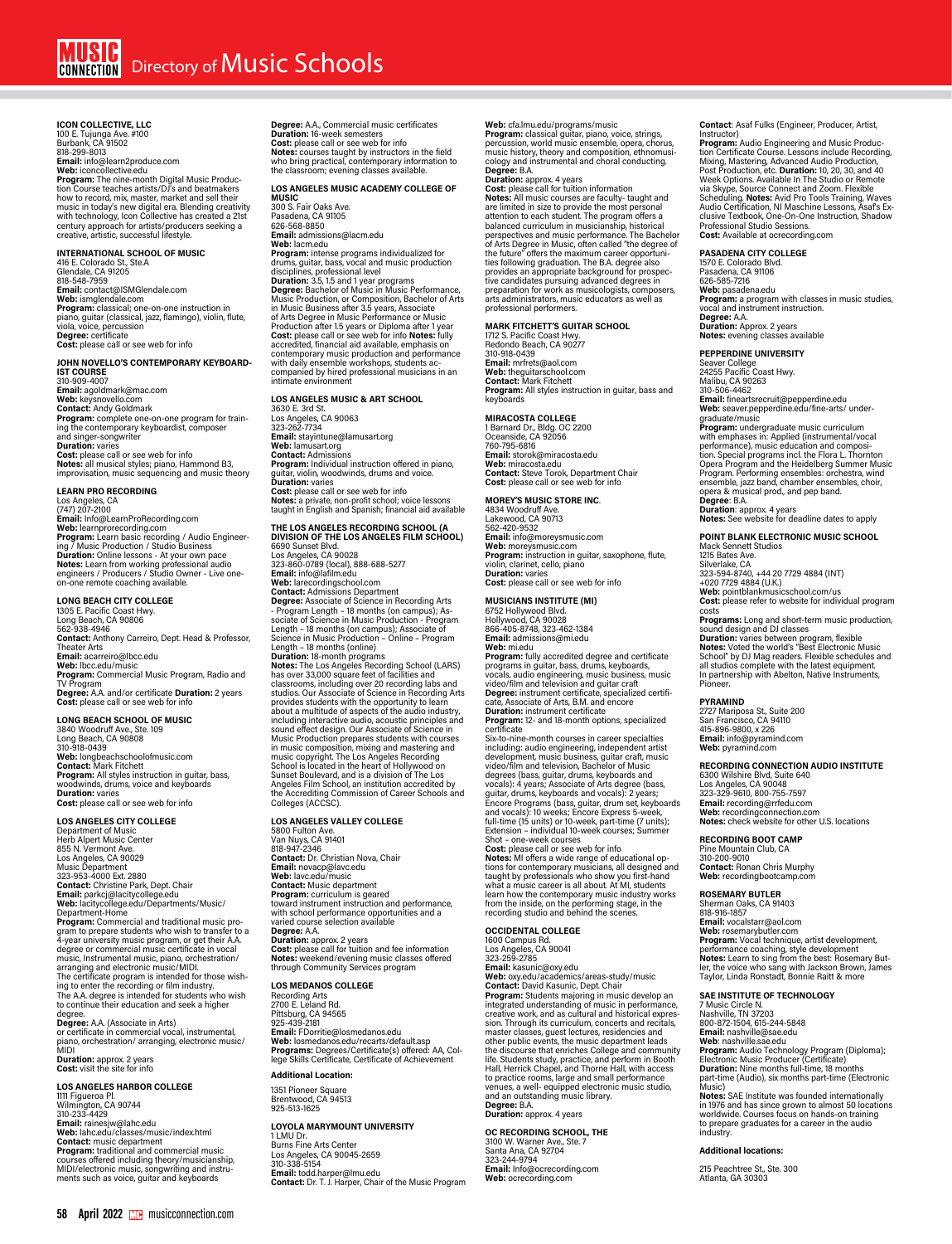### **ICON COLLECTIVE, LLC**

100 E. Tujunga Ave. #100 Burbank, CA 91502 818-299-8013 **Email:** info@learn2produce.com **Web:** iconcollective.edu **Program:** The nine-month Digital Music Produc-<br>tion Course teaches artists/DI's and beatmakers tion Course teaches artists/DJ's and beatmakers<br>how to record, mix, master, market and sell their<br>music in today's new digital era. Blending creativity<br>with technology, Icon Collective has created a 21st century approach for artists/producers seeking a creative, artistic, successful lifestyle.

**INTERNATIONAL SCHOOL OF MUSIC<br>416 E. Colorado St., Ste.A<br>Glendale, CA 91205** 818-548-7959<br>**Email:** contact@ISMGlendale.com<br>**Web:** ismglendale.com<br>**Program:** classical; one-on-one instruction in piano, guitar (classical, jazz, flamingo), violin, flute,<br>viola, voice, percussion<br>**Degree:** certificate<br>**Cost:** please call or see web for info

## **JOHN NOVELLO'S CONTEMPORARY KEYBOARD-**

**IST COURSE** 310-909-4007 **Email:** agoldmark@mac.com Web: keysnovello.com **Contact:** Andy Goldmark<br>**Program:** complete one-on-one program for train-<br>ing the contemporary keyboardist, composer and singer-songwriter **Duration:** varies **Cost:** please call or see web for info<br>**Notes:** all musical styles; piano, Hammond B3,<br>improvisation, music sequencing and music theory

**LEARN PRO RECORDING**

Los Angeles, CA<br>(747) 207-2100

(747) 207-2100<br>**Email:** Info@LearnProRecording.com<br>**Web:** learnprorecording.com<br>**Web:** learnprorecording.com<br>**ing / Music Production / Studio Business<br><b>Duration:** Online lessons - At your own pace<br>**Notes:** Learn from worki on-one remote coaching available.

**LONG BEACH CITY COLLEGE**  1305 E. Pacific Coast Hwy. Long Beach, CA 90806 562-938-4946 **Contact:** Anthony Carreiro, Dept. Head & Professor, Theater Arts **Email:** acarreiro@lbcc.edu **Web:** Ibcc.edu/music<br>**Program:** Commercial Music Program, Radio and<br>TV Program<br>**Cost:** please call or see web for info<br>**Cost:** please call or see web for info

**LONG BEACH SCHOOL OF MUSIC**  3840 Woodruff Ave., Ste. 109 Long Beach, CA 90808 310-918-0439 **Web:** longbeachschoolofmusic.com **Contact:** Mark Fitchett **Program:** All styles instruction in guitar, bass, woodwinds, drums, voice and keyboards **Duration:** varies **Cost:** please call or see web for info

#### **LOS ANGELES CITY COLLEGE**

Department of Music Herb Alpert Music Center 855 N. Vermont Ave. Los Angeles, CA 90029 Music Department 323-953-4000 Ext. 2880 **Contact:** Christine Park, Dept. Chair<br>**Email:** parkcj@lacitycollege.edu<br>**Web:** lacitycollege.edu/Departments/Music/<br>De**partment-Home**<br>**Program:** Commercial and traditional music program to prepare students who wish to transfer to a 4-year university music program, or get their A.A. degree or commercial music certificate in vocal music, Instrumental music, piano, orchestration/ arranging and electronic music/MIDI.<br>The certificate program is intended for those wish-<br>ing to enter the recording or film industry.<br>The A.A. degree is intended for students who wish to continue their education and seek a higher degree: A.A. (Associate in Arts)<br>**Degree:** A.A. (Associate in Arts)<br>piano, orchestration/ arranging, electronic music/<br>MIDI<br>MIDI

**Duration:** approx. 2 years **Cost:** visit the site for info

**LOS ANGELES HARBOR COLLEGE**

1111 Figueroa Pl. Wilmington, CA 90744 310-233-4429 **Email:** rainesjw@lahc.edu **Web:** lahc.edu/classes/music/index.html **Contact:** music department<br>**Program:** traditional and commercial music<br>courses offered including theory/musicianship,<br>MIDI/electronic music, songwriting and instru-<br>ments such as voice, guitar and keyboards **Degree:** A.A., Commercial music certificates **Duration:** 16-week semesters **Cost:** please call or see web for info<br>**Notes:** courses taught by instructors in the field<br>**who b**ring practical, contemporary information to<br>the classroom; evening classes available.

## **LOS ANGELES MUSIC ACADEMY COLLEGE OF**

**MUSIC**<br>300 S. Fair Oaks Ave.<br>Pasadena, CA 91105<br>626-568-8850 **Email:** admissions@lacm.edu **Web:** lacm.edu **Program:** intense programs individualized for drums, guitar, bass, yocal and music production<br>disciplines, professional level<br>**Duration**: 3.5, 1.5 and 1 year programs<br>**Duration**: 3.5, 1.5 and 1 year programs<br>**Music Production, or Composition, Bachelor of Arts**<br>in Musi with daily ensemble workshops, students ac-companied by hired professional musicians in an intimate environment **LOS ANGELES MUSIC & ART SCHOOL**

3630 E. 3rd St. Los Angeles, CA 90063 323-262-7734 **Email:** stayintune@lamusart.org **Web:** lamusart.org<br>**Contac**t: Admissions<br>**Program:** Individual instruction offered in piano,<br>guitar, violin, woodwinds, drums and voice.<br>**Cost:** please call or see web for info<br>**Cost:** please call or see web for info **Notes:** a private, non-profit school; voice lessons taught in English and Spanish; financial aid available

## **THE LOS ANGELES RECORDING SCHOOL (A**

DIVISION OF THE LOS ANGELES FILM SCHOOL)<br>6690 Sunset Blvd.<br>Los Angeles, CA 90028<br>Email: info@lation. 888-688-5277<br>Email: info@latilm.edu<br>Web: larecordingschool.com<br>**Contact:** Admissions Department<br>**Degre**e: Associate of Sc **Duration:** 18-month programs<br>**Notes: T**he Los Angeles Recording School (LARS)<br>has over 33,000 square feet of facilities and<br>classrooms, including over 20 recording labs and<br>studios. Our Associate of Science in Recording A about a multitude of aspects of the audio industry,<br>including interactive audio, acoustic principles and<br>sound effect design. Our Associate of Science in<br>Music Production prepares students with courses<br>in music composition music copyright. The Los Angeles Recording School is located in the heart of Hollywood on Sunset Boulevard, and is a division of The Los Angeles Film School, an institution accredited by the Accrediting Commission of Career Schools and Colleges (ACCSC).

#### **LOS ANGELES VALLEY COLLEGE**

5800 Fulton Ave. Van Nuys, CA 91401 818-947-2346 **Contact:** Dr. Christian Nova, Chair **Email:** novacp@lavc.edu **Web:** lavc.edu/music **Contact:** Music department<br>**Program:** curriculum is geared<br>toward instrument instruction and performance,<br>with school performance opportunities and a<br>varied course selection available **Degre**e: A.A.<br>**Duration:** approx. 2 years<br>**Rost:** please call for tuition and fee information<br>**Notes:** weekend/evening music classes offered<br>through Community Services program

**LOS MEDANOS COLLEGE**  Recording Arts 2700 E. Leland Rd. Pittsburg, CA 94565 925-439-2181 **Email:** FDorritie@losmedanos.edu<br>**Web:** losmedanos.edu/recarts/default.asp<br>**Programs:** Degrees/Certificate(s) offered: AA, Col-<br>lege Skills Certificate, Certificate of Achievement

#### **Additional Location:**

1351 Pioneer Square Brentwood, CA 94513 925-513-1625

#### **LOYOLA MARYMOUNT UNIVERSITY**

1 LMU Dr. Burns Fine Arts Center Los Angeles, CA 90045-2659 310-338-5154 **Email:** todd.harper@lmu.edu **Contact:** Dr. T. J. Harper, Chair of the Music Program **Web:** cfa.lmu.edu/programs/music

**Program:** classical guitar, piano, voice, strings,<br>percussion, world music ensemble, opera, chorus,<br>music history, theory and composition, ethnomusi-<br>cology and instrumental and choral conducting. **Degree:** B.A.

**Duration:** approx. 4 years<br>**Cost:** please call for tution information<br>**Notes:** All music courses are faculty- taught and<br>are limited in size to provide the most personal<br>attention to each student. The program offers a<br>bal perspectives and music performance. The Bachelor<br>of Arts Degree in Music, often called "the degree of<br>the future" offers the maximum career opportuni-<br>ties following graduation. The B.A. degree also<br>provides an appropriate professional performers.

#### **MARK FITCHETT'S GUITAR SCHOOL**

1712 S. Pacific Coast Hwy. Redondo Beach, CA 90277 310-918-0439 **Email:** mrfrets@aol.com<br>**Web: t**heguitarschool.com<br>**Contact:** Mark Fitchett<br>**Program:** All styles instruction in guitar, bass and keyboards

**MIRACOSTA COLLEGE**<br>1 Barnard Dr., Bldg. OC 2200<br>Oceanside, CA 92056 760-795-6816 **Email:** storok@miracosta.edu<br>**Web:** miracosta.edu<br>**Contact:** Steve Torok, Department Chair **Cost:** please call or see web for info

#### **MOREY'S MUSIC STORE INC**.

4834 Woodruff Ave. Lakewood, CA 90713 562-420-9532 **Email:** info@moreysmusic.com<br>**Web:** moreysmusic.com<br>**Program:** instruction in guitar, saxophone, flute,<br>violin, clarinet, cello, piano **Duration:** varies **Cost:** please call or see web for info

**MUSICIANS INSTITUTE (MI)**  6752 Hollywood Blvd. Hollywood, CA 90028

866-405-8748, 323-462-1384<br>**Email**: admissions@mi.edu<br>**Web:** mi.edu<br>program: fully accredited degree and certificate<br>**Program**: fully accredited degree and certificate<br>programs in guitar, bass, drums, levisions,<br>wideo/film

**Duration:** instrument certificate<br>**Program**: 12- and 18-month options, specialized<br>certificate<br>Six-to-nine-month courses in career specialties

including: audio engineering, independent artist<br>development, music business, guitar craft, music<br>video/film and television, Bachelor of Music<br>degrees (bass, guitar, drums, keyboards and<br>vocals): 4 years; Associate of Arts guitar, drums, keyboards and vocals): 2 years;<br>Encore Programs (bass, guitar, drum set, keyboards<br>and vocals): 10 weeks; Encore Express 5-week,<br>full-time (15 units) or 10-week, part-time (7 units);<br>Extension – individual 1

**Cost:** please call or see web for info<br>**Notes:** MI offers a wide range of educational op-<br>tions for contemporary musicians, all designed and<br>taught by professionals who show you first-hand<br>what a music career is all about learn how the contemporary music industry works from the inside, on the performing stage, in the recording studio and behind the scenes.

**OCCIDENTAL COLLEGE**  1600 Campus Rd. Los Angeles, CA 90041 323-259-2785 **Email:** kasunic@oxy.edu

**Web:** oxy,edu/academics/areas-study/music<br>**Contact:** David Kasunic, Dept. Chair<br>**Program:** Students majoring in music develop an<br>integrated understanding of music in performance,<br>creative work, and as cultural and histori sion. Through its curriculum, concerts and recitals,<br>master classes, guest lectures, residencies and<br>other public events, the music department leads<br>the discourse that enriches College and community life. Students study, practice, and perform in Booth<br>Hall, Herrick Chapel, and Thorne Hall, with access<br>to practice rooms, large and small performance<br>venues, a well- equipped electronic music studio, and an outstanding music library. **Degree:** B.A. **Duration:** approx. 4 years

### **OC RECORDING SCHOOL, THE**

3100 W. Warner Ave., Ste. 7 Santa Ana, CA 92704 323-244-9794 **Email:** Info@ocrecording.com **Web:** ocrecording.com **Contact**: Asaf Fulks (Engineer, Producer, Artist, Instructor)

**Program:** Audio Engineering and Music Produc-<br>tion Certificate Course. Lessons include Recording,<br>Mixing, Mastering, Advanced Audio Production,<br>Post Production, etc. **Duration:** 10, 20, 30, and 40 Week Options. Available In The Studio or Remote<br>via Skype, Source Connect and Zoom. Flexible<br>Scheduling. **Notes:** Avid Pro Tools Training, Waves<br>Audio Cerification, NI Maschine Lessons, Asafs Ex-<br>clusive Textbook, One-On-O Professional Studio Sessions. **Cost:** Available at ocrecording.com

**PASADENA CITY COLLEGE**<br>1570 E. Colorado Blvd.<br>Pasadena, CA 91106 626-585-7216 **Web:** pasadena.edu **Program:** a program with classes in music studies, vocal and instrument instruction. **Degree:** A.A. **Duration:** Approx. 2 years **Notes:** evening classes available

#### **PEPPERDINE UNIVERSITY**

Seaver College 24255 Pacific Coast Hwy. Malibu, CA 90263 310-506-4462 **Email:** fineartsrecruit@pepperdine.edu<br>W**eb:** seaver.pepperdine.edu/fine-arts/ under-<br>graduate/music<br>**Program:** undergraduate music curriculum with emphases in: Applied (instrumental/vocal<br>performance), music education and composition. Special programs incl. the Flora L. Thornton<br>Opera Program and the Heidelberg Summer Music<br>Program. Performing ensembles: orchest **Degree**: B.A. **Duration**: approx. 4 years **Notes:** See website for deadline dates to apply

#### **POINT BLANK ELECTRONIC MUSIC SCHOOL**

Mack Sennett Studios 1215 Bates Ave. Silverlake, CA 323-594-8740, +44 20 7729 4884 (INT) +020 7729 4884 (U.K.)<br>**Web:** pointblankmusicschool.com/us<br>**Cost:** please refer to website for individual program costs<br>**Programs:** Long and short-term music production,<br>Buration: varies between program, flexible<br>**Duration**: varies between program, flexible<br>**Notes:** Voted the world's "Best Electronic Music<br>School" by DJ Mag readers. F

In partnership with Abelton, Native Instruments, Pioneer.

#### **PYRAMIND**

2727 Mariposa St., Suite 200 San Francisco, CA 94110 415-896-9800, x 226 **Email:** info@pyramind.com **Web:** pyramind.com

RECORDING CONNECTION AUDIO INSTITUTE<br>6300 Wilshire Blvd, Suite 640<br>Los Angeles, CA 90048<br>Email: recording@rrfedu.com<br>Web: recording@rrfedu.com<br>Wotes: check website for other U.S. locations<br>Notes: check website for other U.

#### **RECORDING BOOT CAMP**

Pine Mountain Club, CA 310-200-9010 **Contact:** Ronan Chris Murphy **Web:** recordingbootcamp.com

**ROSEMARY BUTLER**<br>Sherman Oaks, CA 91403<br>818-916-1857 **Email:** vocalstarr@aol.com **Web:** rosemarybutler.com<br>**Program:** Vocal technique, artist development,<br>performance coaching, style development<br>**Notes:** Learn to sing from the best: Rosemary Butler, the voice who sang with Jackson Brown, James Taylor, Linda Ronstadt, Bonnie Raitt & more

#### **SAE INSTITUTE OF TECHNOLOGY**

7 Music Circle N. Nashville, TN 37203<br>800-872-1504, 615-244-5848<br>**Email:** nashville@sae.du<br>**Web:** nashville@sae.du<br>**Program:** Audio Technology Program (Diploma);<br>Electronic Music Producer (Certificate)<br>**Duration**: Nine months full-time, 18

**Notes:** SAE Institute was founded internationally in 1976 and has since grown to almost 50 locations worldwide. Courses focus on hands-on training to prepare graduates for a career in the audio industry.

#### **Additional locations:**

215 Peachtree St., Ste. 300 Atlanta, GA 30303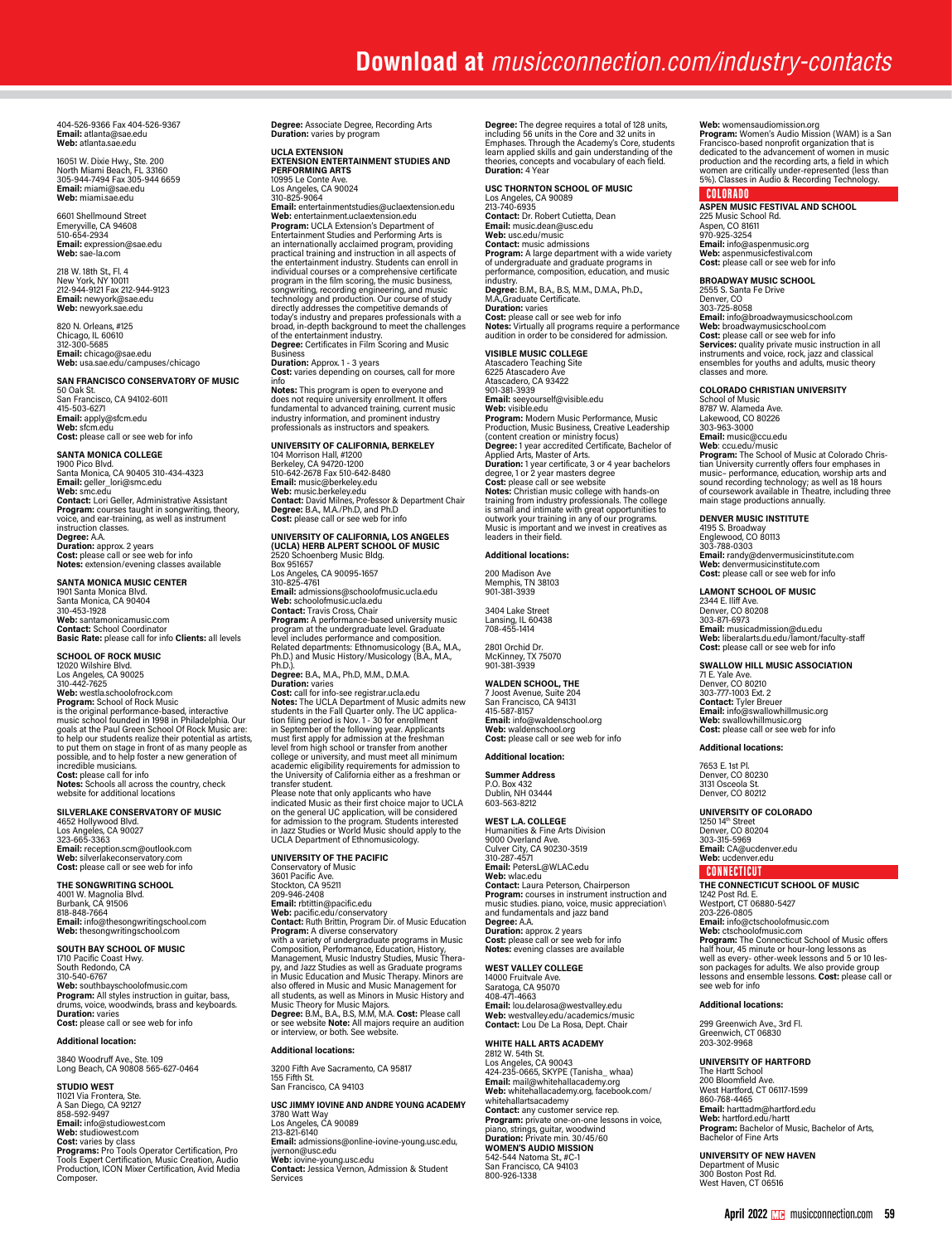404-526-9366 Fax 404-526-9367 **Email:** atlanta@sae.edu **Web:** atlanta.sae.edu

16051 W. Dixie Hwy., Ste. 200 North Miami Beach, FL 33160 305-944-7494 Fax 305-944 6659 **Email:** miami@sae.edu **Web:** miami.sae.edu

6601 Shellmound Street Emeryville, CA 94608 510-654-2934 **Email:** expression@sae.edu **Web:** sae-la.com

218 W. 18th St., Fl. 4 New York, NY 10011 212-944-9121 Fax 212-944-9123 **Email:** newyork@sae.edu **Web:** newyork.sae.edu

820 N. Orleans, #125 Chicago, IL 60610 312-300-5685 **Email:** chicago@sae.edu **Web:** usa.sae.edu/campuses/chicago

#### **SAN FRANCISCO CONSERVATORY OF MUSIC**

50 Oak St. San Francisco, CA 94102-6011 415-503-6271 **Email:** apply@sfcm.edu **Web:** sfcm.edu **Cost:** please call or see web for info

**SANTA MONICA COLLEGE**<br>1900 Pico Blvd.<br>Santa Monica, CA 90405 310-434-4323 **Email:** geller\_lori@smc.edu **Web:** smc.edu **Contact:** Lori Geller, Administrative Assistant **Program:** courses taught in songwriting, theory,<br>voice, and ear-training, as well as instrument<br>instruction classes. **Degree:** A.A.<br>**Duration**: approx. 2 years<br>**Cost:** please call or see web for info<br>**Notes:** extension/evening classes available

**SANTA MONICA MUSIC CENTER** 

1901 Santa Monica Blvd. Santa Monica, CA 90404 310-453-1928 **Web:** santamonicamusic.com **Contact:** School Coordinator **Basic Rate:** please call for info **Clients:** all levels

**SCHOOL OF ROCK MUSIC**  12020 Wilshire Blvd. Los Angeles, CA 90025 310-442-7625 Web: westla.schoolofrock.com<br>**Program:** School of Rock Music **Program:** School of Rock Music<br>is the original performance-based, interactive<br>music school founded in 1998 in Philadelphia. Our<br>goals at the Paul Green School Of Rock Music are:<br>to help our students realize their potentia to put them on stage in front of as many people as possible, and to help foster a new generation of incredible musicians. **Cost:** please call for info **Notes:** Schools all across the country, check

website for additional locations

**SILVERLAKE CONSERVATORY OF MUSIC<br>4652 Hollywood Blvd.<br>Los Angeles, CA 90027<br>323-665-3363 Email:** reception.scm@outlook.com **Web:** silverlakeconservatory.com **Cost:** please call or see web for info

**THE SONGWRITING SCHOOL**  4001 W. Magnolia Blvd.<br>Burbank, CA 91506<br>818-848-7664<br>**Email:** info@thesongwritingschool.com

**Web:** thesongwritingschool.com **SOUTH BAY SCHOOL OF MUSIC**  1710 Pacific Coast Hwy. South Redondo, CA 310-540-6767 **Web:** southbayschoolofmusic.com **Program:** All styles instruction in guitar, bass, drums, voice, woodwinds, brass and keyboards. **Duration:** varies **Cost:** please call or see web for info

**Additional location:** 

3840 Woodruff Ave., Ste. 109 Long Beach, CA 90808 565-627-0464

**STUDIO WEST** 

11021 Via Frontera, Ste. A San Diego, CA 92127 858-592-9497 **Email:** info@studiowest.com **Web:** studiowest.com **Cost:** varies by class<br>**Programs:** Pro Tools Operator Certification, Pro<br>Tools Expert Certification, Music Creation, Audio<br>Production, ICON Mixer Certification, Avid Media<br>Composer. **Degree:** Associate Degree, Recording Arts **Duration:** varies by program

## **UCLA EXTENSION EXTENSION ENTERTAINMENT STUDIES AND**

**PERFORMING ARTS**<br>COSMING ARTS<br>COSMING ARTS<br>COSS -9064<br>SIO-925-9064<br>**Email:** entertainmentstudies@uclaextension.edu<br>**Veb:** entertainmentstudiesextension.edu<br>**Program:** UCLA Extension's Department of<br>**Program:** UCLA Extensi

**Cost:** varies depending on courses, call for more

info **Notes:** This program is open to everyone and does not require university enrollment. It offers fundamental to advanced training, current music industry information, and prominent industry professionals as instructors and speakers.

#### **UNIVERSITY OF CALIFORNIA, BERKELEY**

104 Morrison Hall, #1200 Berkeley, CA 94720-1200 510-642-2678 Fax 510-642-8480 **Email:** music@berkeley.edu<br>**Web:** music.berkeley.edu<br>**Contact:** David Milnes, Professor & Department Chair **Degree:** B.A., M.A./Ph.D, and Ph.D **Cost:** please call or see web for info

## **UNIVERSITY OF CALIFORNIA, LOS ANGELES (UCLA) HERB ALPERT SCHOOL OF MUSIC** 2520 Schoenberg Music Bldg. Box 951657

Los Angeles, CA 90095-1657 310-825-4761

**Email:** admissions@schoolofmusic.ucla.edu<br>**Web:** schoolofmusic.ucla.edu<br>**Contact:** Travis Cross, Chair **Program:** A performance-based university music<br>program at the undergraduate level. Graduate<br>level includes performance and composition.<br>Related departments: Ethnomusicology (B.A., M.A.,<br>Ph.D.) and Music History/Musicology

Ph.D.)<br>**Duration:** Waries B.A., M.A., Ph.D, M.M., D.M.A.<br>**Duration:** varies<br>**Cost:** call for info-see registrar.ucla.edu<br>**Notes:** The UCLA Department of Music admits new<br>tition filing period is Nov. 1 - 30 for enrollment<br>i

Please note that only applicants who have<br>indicated Music as their first choice major to UCLA<br>on the general UC application, will be considered<br>for admission to the program. Students interested<br>in Jazz Studies or World Mus

**UNIVERSITY OF THE PACIFIC**  Conservatory of Music 3601 Pacific Ave.

Stockton, CA 95211<br>200-406, CA 95211<br>**Email:** rbtittin@pacific.edu<br>**Web:** pacific.edu/conservatory<br>**Contact:** Ruth Brittin, Program Dir. of Music Education<br>**Program**: A diverse conservatory<br>with a variety of undergraduate py, and Jazz Studies as well as Graduate programs in Music Education and Music Therapy. Minors are also offered in Music and Music Management for all students, as well as Minors in Music History and

Music Theory for Music Majors. **Degree:** B.M., B.A., B.S, M.M, M.A. **Cost:** Please call

or see website **Note:** All majors require an audition or interview, or both. See website. **Additional locations:** 

3200 Fifth Ave Sacramento, CA 95817 155 Fifth St. San Francisco, CA 94103

#### **USC JIMMY IOVINE AND ANDRE YOUNG ACADEMY**

3780 Watt Way Los Angeles, CA 90089 213-821-6140 **Email:** admissions@online-iovine-young.usc.edu, jvernon@usc.edu **Web:** iovine-young.usc.edu<br>**Contact:** Jessica Vernon, Admission & Student<br>Services

**Degree:** The degree requires a total of 128 units, including 56 units in the Core and 32 units in Emphases. Through the Academy's Core, students learn applied skills and gain understanding of the theories, concepts and vocabulary of each field. **Duration:** 4 Year

**USC THORNTON SCHOOL OF MUSIC<br>Los Angeles, CA 90089<br>213-740-6935<br><b>Contact:** Dr. Robert Cutietta, Dean **Email:** music.dean@usc.edu<br>**Web:** usc.edu/music<br>**Contact:** music admissions<br>**Program:** A large department with a wide variety<br>of undergraduate and graduate programs in<br>performance, composition, education, and music<br>**Degre Duration:** varies<br>**Cost:** please call or see web for info<br>**Notes:** Virtually all programs require a performance<br>audition in order to be considered for admission.

#### **VISIBLE MUSIC COLLEGE**

Atascadero Teaching Site 6225 Atascadero Ave Atascadero, CA 93422 901-381-3939 **Email:** seeyourself@visible.edu Web: visible.edu<br>Program: Modern Music Performance, Music<br>Production, Music Business, Creative Leadership<br>(content creation or ministry focus)<br>Degree: 1 year accredited Certificate, Bachelor of<br>Applied Arts, Master of Arts **Cost:** please call or see website<br>**Notes:** Christian music college with hands-on<br>**Notes:** Christian music college with hands-on<br>training from industry professionals. The college<br>is small and intimate with great opportunit leaders in their field.

#### **Additional locations:**

200 Madison Ave Memphis, TN 38103 901-381-3939

3404 Lake Street Lansing, IL 60438 708-455-1414

2801 Orchid Dr. McKinney, TX 75070 901-381-3939

### **WALDEN SCHOOL, THE**

7 Joost Avenue, Suite 204 San Francisco, CA 94131 415-587-8157 **Email:** info@waldenschool.org **Web:** waldenschool.org **Cost:** please call or see web for info

#### **Additional location:**

**Summer Address**  P.O. Box 432 Dublin, NH 03444 603-563-8212

#### **WEST L.A. COLLEGE**

Humanities & Fine Arts Division 9000 Overland Ave. Culver City, CA 90230-3519 310-287-4571 **Email:** PetersL@WLAC.edu **Web:** wlac.edu **Contact:** Laura Peterson, Chairperson **Program:** courses in instrument instruction and music studies. piano, voice, music appreciation\ and fundamentals and jazz band **Degree:** A.A. **Duration:** approx. 2 years<br>**Cost:** please call or see web for info<br>**Notes:** evening classes are available

#### **WEST VALLEY COLLEGE**

14000 Fruitvale Ave. Saratoga, CA 95070 408-471-4663 **Email:** lou.delarosa@westvalley.edu **Web:** westvalley.edu/academics/music **Contact:** Lou De La Rosa, Dept. Chair

### **WHITE HALL ARTS ACADEMY**

2812 W. 54th St.<br>Los Angeles, CA 90043<br>424-235-0665, SKYPE (Tanisha\_ whaa)<br>**Email:** mail@whitehallacademy.org<br>**Web:** whitehallacademy.org, facebook.com/ whitehallartsacademy **Contact:** any customer service rep. **Program:** private one-on-one lessons in voice, piano, strings, guitar, woodwind **Duration:** Private min. 30/45/60 **WOMEN'S AUDIO MISSION**<br>542-544 Natoma St., #C-1<br>San Francisco, CA 94103 800-926-1338

Web: womensaudiomission.org<br>Program: Women's Audio Mission (WAM) is a San<br>Francisco-based nonprofit organization that is<br>dedicated to the advancement of women in music<br>production and the recording arts, a field in which<br>wo 5%). Classes in Audio & Recording Technology.

#### COLORADO

**ASPEN MUSIC FESTIVAL AND SCHOOL**<br>225 Music School Rd.<br>Aspen, CO 81611 970-925-3254 **Email:** info@aspenmusic.org **Web:** aspenmusicfestival.com **Cost:** please call or see web for info

**BROADWAY MUSIC SCHOOL**<br>2555 S. Santa Fe Drive<br>Denver, CO 303-725-8058<br>**Email:** Info@broadwaymusicschool.com<br>**Web:** broadwaymusicschool.com<br>**Cost:** please call or see web for info<br>**Services:** quality private music instruction in all<br>instruments and voice, rock, jazz and classical

#### **COLORADO CHRISTIAN UNIVERSITY**

School of Music 8787 W. Alameda Ave. Lakewood, CO 80226 303-963-3000 **Email:** music@ccu.edu **Web**: ccu.edu/music **Program:** The School of Music at Colorado Chris-<br>tian University currently offers four emphases in<br>music– performance, education, worship arts and sound recording technology; as well as 18 hours of coursework available in Theatre, including three main stage productions annually.

**DENVER MUSIC INSTITUTE**  4195 S. Broadway Englewood, CO 80113 303-788-0303 **Email:** randy@denvermusicinstitute.com **Cost:** please call or see web for info

**LAMONT SCHOOL OF MUSIC<br>2344 E. Iliff Ave.<br>Denver, CO 80208** 303-871-6973<br>Email: musicadmission@du.edu **Email:** musicadmission@du.edu **Web:** liberalarts.du.edu/lamont/faculty-staff **Cost:** please call or see web for info

#### **SWALLOW HILL MUSIC ASSOCIATION**

71 E. Yale Ave. Denver, CO 80210 303-777-1003 Ext. 2 **Contact:** Tyler Breuer **Email:** info@swallowhillmusic.org **Web:** swallowhillmusic.org **Cost:** please call or see web for info

#### **Additional locations:**

7653 E. 1st Pl. Denver, CO 80230 3131 Osceola St. Denver, CO 80212

## **UNIVERSITY OF COLORADO**  1250 14<sup>th</sup> Street<br>Denver, CO 80204<br>303-315-5969

**Email:** CA@ucdenver.edu **Web:** ucdenver.edu

### CONNECTICUT

**THE CONNECTICUT SCHOOL OF MUSIC** 1242 Post Rd. E. Westport, CT 06880-5427 203-226-0805 **Email:** info@ctschoolofmusic.com **Web:** ctschoolofmusic.com<br>**Program:** The Connecticut School of Music offers<br>half hour, 45 minute or hour-long lessons as<br>well as every- other-week lessons and 5 or 10 lesson packages for adults. We also provide group lessons and ensemble lessons. **Cost:** please call or see web for info

#### **Additional locations:**

299 Greenwich Ave., 3rd Fl. Greenwich, CT 06830 203-302-9968

### **UNIVERSITY OF HARTFORD**

The Hartt School 200 Bloomfield Ave. West Hartford, CT 06117-1599 860-768-4465 **Email:** harttadm@hartford.edu **Web:** hartford.edu/hartt **Program:** Bachelor of Music, Bachelor of Arts, Bachelor of Fine Arts

**UNIVERSITY OF NEW HAVEN**  Department of Music 300 Boston Post Rd. West Haven, CT 06516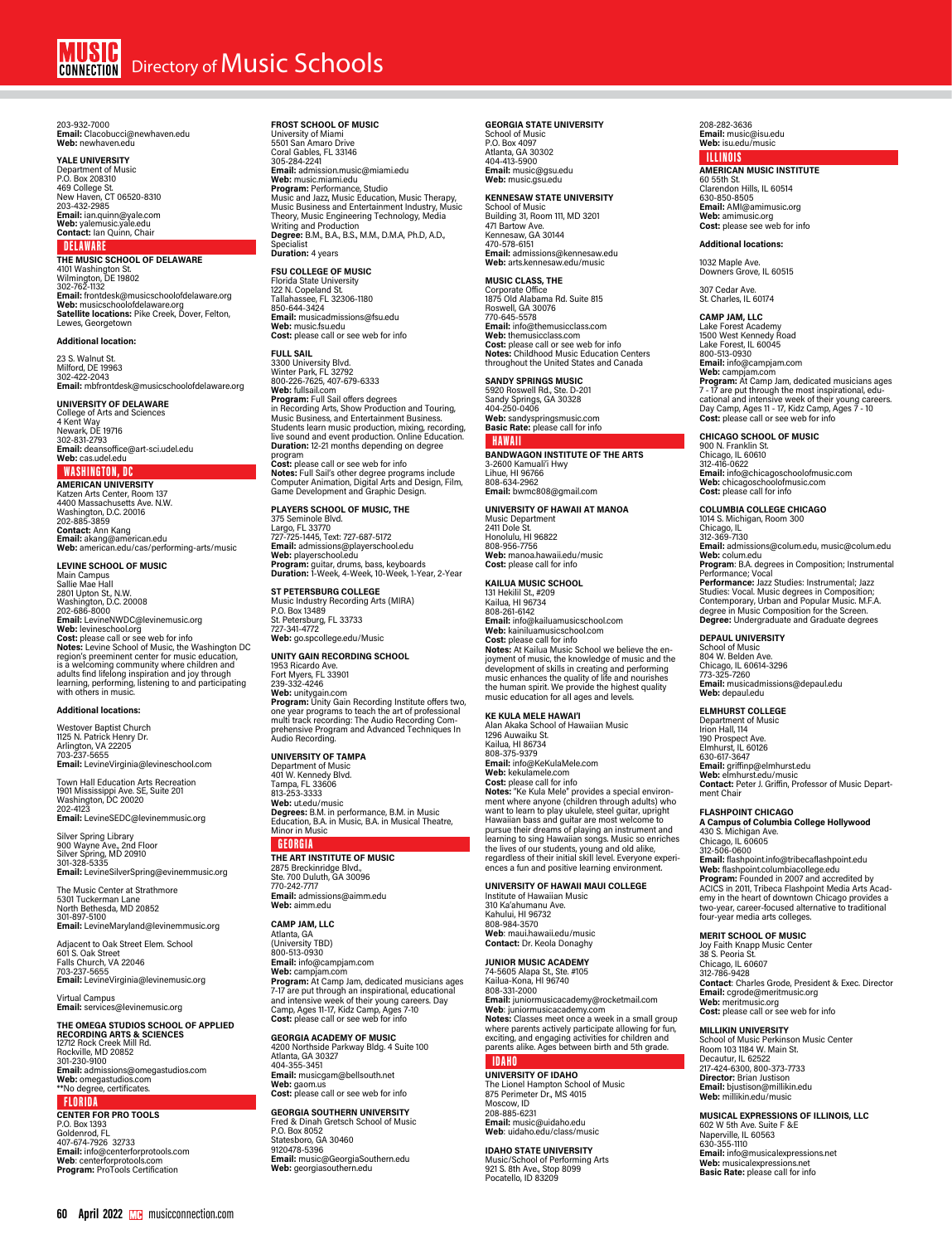203-932-7000 **Email:** Clacobucci@newhaven.edu **Web:** newhaven.edu

**YALE UNIVERSITY**  Department of Music P.O. Box 208310 469 College St. New Haven, CT 06520-8310<br>203-432-2985<br>**Email:** ian.quinn@yale.com<br>**Web:** yalemusic.yale.edu<br>**Contact:** Ian Quinn, Chair

#### DELAWARE

**THE MUSIC SCHOOL OF DELAWARE** 4101 Washington St. Wilmington, DE 19802 302-762-1132 **Email:** frontdesk@musicschoolofdelaware.org<br>**Web:** musicschoolofdelaware.org<br>**Satellite locations**: Pike Creek, Dover, Felton,<br>Lewes, Georgetown

**Additional location:** 

23 S. Walnut St. Milford, DE 19963 302-422-2043 **Email:** mbfrontdesk@musicschoolofdelaware.org **UNIVERSITY OF DELAWARE**  College of Arts and Sciences

4 Kent Way Newark, DE 19716 302-831-2793 **Email:** deansoffice@art-sci.udel.edu **Web:** cas.udel.edu

### WASHINGTON, DC

**AMERICAN UNIVERSITY**  Katzen Arts Center, Room 137 4400 Massachusetts Ave. N.W. Washington, D.C. 20016 202-885-3859 **Contact:** Ann Kang **Email:** akang@american.edu **Web:** american.edu/cas/performing-arts/music

**LEVINE SCHOOL OF MUSIC**  Main Campus Sallie Mae Hall 2801 Upton St., N.W. Washington, D.C. 20008 202-686-8000 **Email:** LevineNWDC@levinemusic.org **Web:** levineschool.org **Cost:** please call or see web for info **Notes:** Levine School of Music, the Washington DC region's preeminent center for music education, is a welcoming community where children and adults find lifelong inspiration and joy through learning, performing, listening to and participating with others in music.

#### **Additional locations:**

Westover Baptist Church 1125 N. Patrick Henry Dr. Arlington, VA 22205 703-237-5655 **Email:** LevineVirginia@levineschool.com

Town Hall Education Arts Recreation 1901 Mississippi Ave. SE, Suite 201 Washington, DC 20020 202-4123 **Email:** LevineSEDC@levinemmusic.org

Silver Spring Library 900 Wayne Ave., 2nd Floor Silver Spring, MD 20910 301-328-5335 **Email:** LevineSilverSpring@evinemmusic.org

The Music Center at Strathmore 5301 Tuckerman Lane North Bethesda, MD 20852 301-897-5100 **Email:** LevineMaryland@levinemmusic.org

Adjacent to Oak Street Elem. School 601 S. Oak Street Falls Church, VA 22046 703-237-5655 **Email:** LevineVirginia@levinemusic.org

Virtual Campus **Email:** services@levinemusic.org

## **THE OMEGA STUDIOS SCHOOL OF APPLIED RECORDING ARTS & SCIENCES** 12712 Rock Creek Mill Rd.

Rockville, MD 20852 301-230-9100 **Email:** admissions@omegastudios.com **Web:** omegastudios.com Web: omegastudios.com<br>\*\*No degree, certificates.

#### FLORIDA

**CENTER FOR PRO TOOLS** P.O. Box 1393 Goldenrod, FL 407-674-7926 32733 **Email:** info@centerforprotools.com **Web**: centerforprotools.com **Program:** ProTools Certification **FROST SCHOOL OF MUSIC** 

University of Miami 5501 San Amaro Drive Coral Gables, FL 33146 305-284-2241 **Email:** admission.music@miami.edu **Web:** music.miamiedu<br>**Program:** Performance, Studio<br>Music and Jazz, Music Education, Music Therapy,<br>Music Business and Entertainment Industry, Media<br>Theory, Music Engineering Technology, Media Writing and Production **Degree:** B.M., B.A., B.S., M.M., D.M.A, Ph.D, A.D., Specialist **Duration:** 4 years

**FSU COLLEGE OF MUSIC**<br>Florida State University<br>122 N. Copeland St.<br>Tallahassee, FL 32306-1180

850-644-3424 **Email:** musicadmissions@fsu.edu **Web:** music.fsu.edu **Cost:** please call or see web for info

**FULL SAIL**<br>3300 University Blvd. 3300 University Blvd.<br>Winter Park, FL 32792<br>**Web:** fullsail.com<br>**Web:** fullsail.com<br>**Program:** Full Sail offers degrees<br>In Recording Arts, Show Production and Touring,<br>Music Business, and Entertainment Business.<br>Students l

**Duration:** 12-21 months depending on degree<br>program<br>**Cost:** please call or see web for info<br>**Notes:** Full Sail's other degree programs include<br>Computer Animation, Digital Arts and Design, Film,<br>Game Development and Graphi

**PLAYERS SCHOOL OF MUSIC, THE**  375 Seminole Blvd. Largo, FL 33770 727-725-1445, Text: 727-687-5172 **Email:** admissions@playerschool.edu **Web:** playerschool.edu **Program:** guitar, drums, bass, keyboards<br>**Duration:** 1-Week, 4-Week, 10-Week, 1-Year, 2-Year

**ST PETERSBURG COLLEGE**<br>Music Industry Recording Arts (MIRA)<br>P.O. Box 13489 St. Petersburg, FL 33733 727-341-4772 **Web:** go.spcollege.edu/Music

#### **UNITY GAIN RECORDING SCHOOL** 1953 Ricardo Ave.

Fort Myers, FL 33901 239-332-4246 **Web:** unitygain.com<br>**Program**: Unity Gain Recording Institute offers two,<br>one year programs to teach the art of professional<br>multi track recording: The Audio Recording Com-<br>prehensive Program and Advanced Techniques In<br>Au

**UNIVERSITY OF TAMPA**<br>Department of Music<br>401 W. Kennedy Blvd.<br>Tampa, FL 33606 813-253-3333 **Web:** ut.edu/music **Degrees:** B.M. in performance, B.M. in Music Education, B.A. in Music, B.A. in Musical Theatre, Minor in Music

#### GEORGIA

**THE ART INSTITUTE OF MUSIC**  2875 Breckinridge Blvd., Ste. 700 Duluth, GA 30096 770-242-7717 **Email:** admissions@aimm.edu **Web:** aimm.edu

#### **CAMP JAM, LLC**

Atlanta, GA (University TBD) 800-513-0930 **Email:** info@campjam.com Web: campjam.com<br>Program: At Camp Jam, dedicated musicians ages<br>7-17 are put through an inspirational, educational<br>and intensive week of their young careers. Day<br>Camp, Ages 11-17, Kidz Camp, Ages 7-10<br>Cost: please call or

**GEORGIA ACADEMY OF MUSIC**  4200 Northside Parkway Bldg. 4 Suite 100 Atlanta, GA 30327 404-355-3451 **Email:** musicgam@bellsouth.net **Web:** gaom.us **Cost:** please call or see web for info

**GEORGIA SOUTHERN UNIVERSITY**  Fred & Dinah Gretsch School of Music P.O. Box 8052 Statesboro, GA 30460 9120478-5396 **Email:** music@GeorgiaSouthern.edu **Web:** georgiasouthern.edu

#### **GEORGIA STATE UNIVERSITY**  School of Music

P.O. Box 4097 Atlanta, GA 30302 404-413-5900 **Email:** music@gsu.edu **Web:** music.gsu.edu

#### **KENNESAW STATE UNIVERSITY**

School of Music Building 31, Room 111, MD 3201 471 Bartow Ave. Kennesaw, GA 30144 470-578-6151 **Email:** admissions@kennesaw.edu **Web:** arts.kennesaw.edu/music

**MUSIC CLASS, THE**<br>Corporate Office<br>1875 Old Alabama Rd. Suite 815 Roswell, GA 30076 770-645-5578 **Email:** info@themusicclass.com **Web:** themusicclass.com **Cost:** please call or see web for info<br> **Notes:** Childhood Music Education Centers **Notes:** Childhood Music Education Centers throughout the United States and Canada

**SANDY SPRINGS MUSIC**<br>5920 Roswell Rd., Ste. D-201<br>Sandy Springs, GA 30328<br>404-250-0406 **Web:** sandyspringsmusic.com **Basic Rate:** please call for info HAWAII

**BANDWAGON INSTITUTE OF THE ARTS**<br>3-2600 Kamuali'i Hwy<br>Lihue, HI 96766

## 808-634-2962 **Email:** bwmc808@gmail.com

**UNIVERSITY OF HAWAII AT MANOA**  Music Department 2411 Dole St. Honolulu, HI 96822 808-956-7756 **Web:** manoa.hawaii.edu/music **Cost:** please call for info

**KAILUA MUSIC SCHOOL**<br>131 Hekilil St., #209<br>Kailua, HI 96734 808-261-6142 **Email:** info@kailuamusicschool.com **Web:** kainiluamusicschool.com **Cost:** please call for info **Notes:** At Kailua Music School we believe the en-<br>joyment of music, the knowledge of music and the<br>development of skills in creating and performing<br>music enhances the quality of life and nourishes<br>the human spirit. We pro

#### **KE KULA MELE HAWAI'I**

Alan Akaka School of Hawaiian Music 1296 Auwaiku St. Kailua, HI 86734 808-375-9379 **Email:** info@KeKulaMele.com **Web:** kekulamele.com **Cost:** please call for info<br>**Notes: "**Ke Kula Mele" provides a special environ-<br>ment where anyone (children through adults) who want to learn to play ukulele, steel guitar, upright<br>Hawaiian bass and guitar are most welcome to<br>pursue their dreams of playing an instrument and<br>learning to sing Hawaiian songs. Music so enriches<br>the lives of our student

### **UNIVERSITY OF HAWAII MAUI COLLEGE** Institute of Hawaiian Music

310 Ka'ahumanu Ave. Kahului, HI 96732

808-984-3570 **Web**: maui.hawaii.edu/music **Contact:** Dr. Keola Donaghy

#### **JUNIOR MUSIC ACADEMY**

74-5605 Alapa St., Ste. #105 Kailua-Kona, HI 96740 808-331-2000 **Email:** juniormusicacademy@rocketmail.com **Web**: juniormusicacademy.com<br>**Notes:** Classes meet once a week in a small group<br>where parents actively participate allowing for fun,<br>exciting, and engaging activities for children and<br>parents alike. Ages between birth and IDAHO

#### **UNIVERSITY OF IDAHO**

The Lionel Hampton School of Music 875 Perimeter Dr., MS 4015 Moscow, ID 208-885-6231 **Email:** music@uidaho.edu **Web**: uidaho.edu/class/music

### **IDAHO STATE UNIVERSITY**

Music/School of Performing Arts 921 S. 8th Ave., Stop 8099 Pocatello, ID 83209

208-282-3636 **Email:** music@isu.edu **Web:** isu.edu/music

### ILLINOIS

**AMERICAN MUSIC INSTITUTE**  60 55th St.<br>Clarendon Hills, IL 60514 Clarendon Hills, IL 60514<br>630-850-8505<br>**Email:** AMI@amimusic.org<br>**Web:** amimusic.org<br>**Cost:** please see web for info

#### **Additional locations:**

1032 Maple Ave. Downers Grove, IL 60515

307 Cedar Ave. St. Charles, IL 60174

**CAMP JAM, LLC**  Lake Forest Academy 1500 West Kennedy Road Lake Forest, IL 60045 800-513-0930 **Email:** info@campim.com<br>**Web:** campiam.com<br>**Program:** At Camp Jam, dedicated musicians ages<br>7 - 17 are put through the most inspirational, edu-<br>cational and intensive week of their young careers.<br>Day Camp, Ages 11 - 17, K

#### **CHICAGO SCHOOL OF MUSIC**

900 N. Franklin St.<br>Chicago, IL 60610<br>312-416-0622<br>**Email:** info@chicagoschoolofmusic.com **Web:** chicagoschoolofmusic.com **Cost:** please call for info

**COLUMBIA COLLEGE CHICAGO**<br>1014 S. Michigan, Room 300<br>Chicago, IL 312-369-7130<br>**Email:** admissions@colum.edu, music@colum.edu<br>**Web:** colum.edu<br>**Program**: B.A. degrees in Composition; Instrumental Performance; Vocal **Performance:** Jazz Studies: Instrumental; Jazz<br>Studies: Vocal. Music degrees in Composition;<br>Contemporary, Urban and Popular Music. M.F.A.<br>degree in Music Composition for the Screen. **Degree:** Undergraduate and Graduate degrees

**DEPAUL UNIVERSITY**  School of Music 804 W. Belden Ave. Chicago, IL 60614-3296 773-325-7260 **Email:** musicadmissions@depaul.edu **Web:** depaul.edu

#### **ELMHURST COLLEGE**

Department of Music Irion Hall, 114 190 Prospect Ave. Elmhurst, IL 60126 630-617-3647<br>**Email:** griffinp@elmhurst.edu<br>**Web:** elmhurst.edu/music<br>**Contact:** Peter J. Griffin, Professor of Music Department Chair

#### **FLASHPOINT CHICAGO**

**A Campus of Columbia College Hollywood<br>430 S. Michigan Ave.<br>Chicago, IL 60605<br>312-506-0600 Email:** flashpoint.info@tribecaflashpoint.edu **Web:** flashpoint.columbiacollege.edu **Program:** Founded in 2007 and accredited by ACICS in 2011, Tribeca Flashpoint Media Arts Academy in the heart of downtown Chicago provides a two-year, career-focused alternative to traditional four-year media arts colleges.

#### **MERIT SCHOOL OF MUSIC**

Joy Faith Knapp Music Center 38 S. Peoria St. Chicago, IL 60607 312-786-9428 **Contact**: Charles Grode, President & Exec. Director **Email:** cgrode@meritmusic.org **Web:** meritmusic.org **Cost:** please call or see web for info

#### **MILLIKIN UNIVERSITY**

School of Music Perkinson Music Center Room 103 1184 W. Main St. Decautur, IL 62522 217-424-6300, 800-373-7733 **Director:** Brian Justison **Email:** bjustison@millikin.edu **Web:** millikin.edu/music

**MUSICAL EXPRESSIONS OF ILLINOIS, LLC** 602 W 5th Ave. Suite F &E Naperville, IL 60563 630-355-1110 **Email:** info@musicalexpressions.net **Web:** musicalexpressions.net **Basic Rate:** please call for info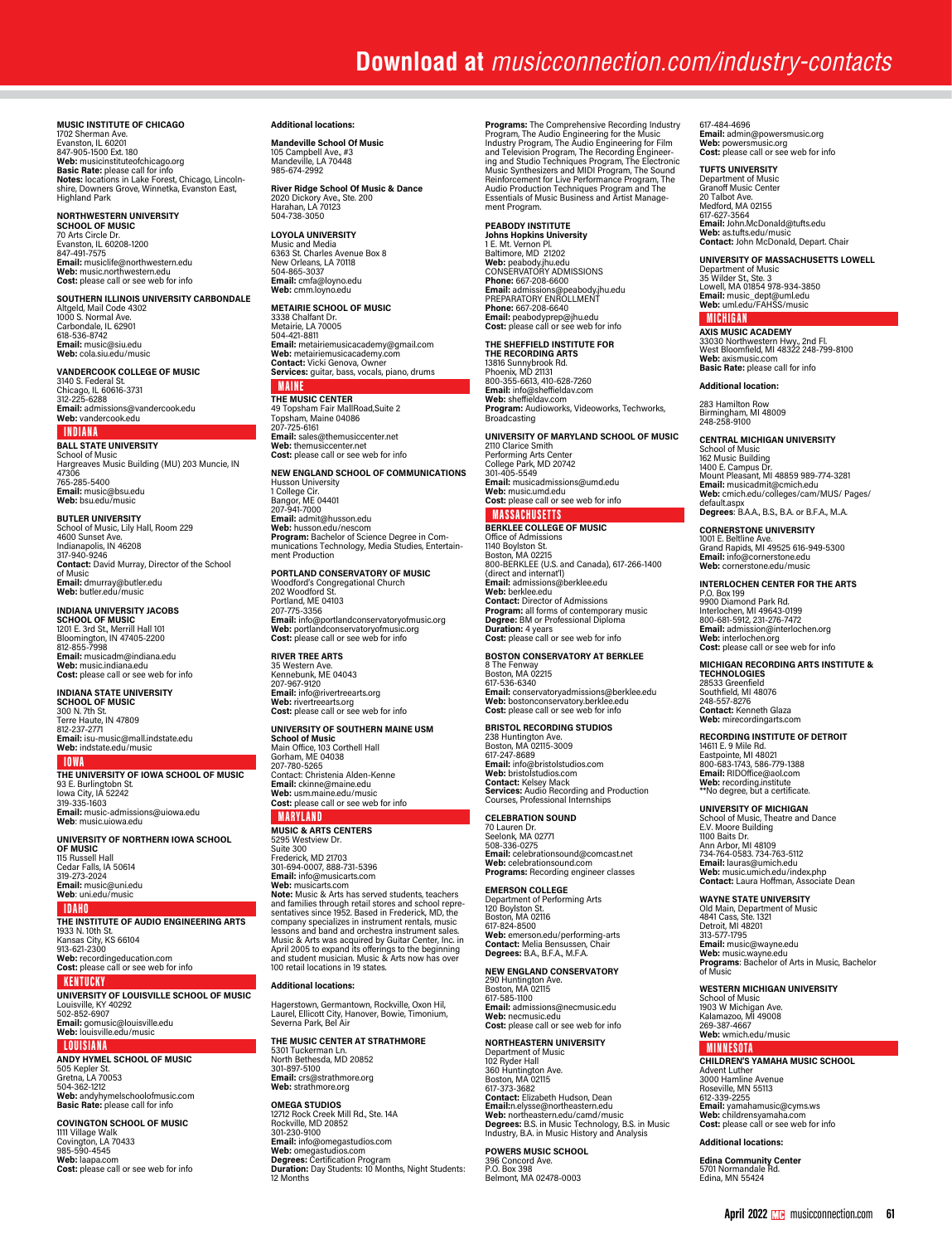## **Download at** *musicconnection.com/industry-contacts*

**MUSIC INSTITUTE OF CHICAGO**  1702 Sherman Ave. Evanston, IL 60201 847-905-1500 Ext. 180 **Web:** musicinstituteofchicago.org **Basic Rate:** please call for info **Notes:** locations in Lake Forest, Chicago, Lincoln-shire, Downers Grove, Winnetka, Evanston East, Highland Park

**NORTHWESTERN UNIVERSITY SCHOOL OF MUSIC** 70 Arts Circle Dr. Evanston, IL 60208-1200 847-491-7575 **Email:** musiclife@northwestern.edu **Web:** music.northwestern.edu **Cost:** please call or see web for info

**SOUTHERN ILLINOIS UNIVERSITY CARBONDALE** Altgeld, Mail Code 4302 1000 S. Normal Ave. Carbondale, IL 62901 618-536-8742 **Email:** music@siu.edu **Web:** cola.siu.edu/music

**VANDERCOOK COLLEGE OF MUSIC**

3140 S. Federal St. Chicago, IL 60616-3731 312-225-6288 **Email:** admissions@vandercook.edu **Web:** vandercook.edu

#### INDIANA

**BALL STATE UNIVERSITY**  School of Music Hargreaves Music Building (MU) 203 Muncie, IN 47306 765-285-5400 **Email:** music@bsu.edu **Web:** bsu.edu/music

## **BUTLER UNIVERSITY**  School of Music, Lily Hall, Room 229

4600 Sunset Ave.<br>Indianapolis, IN 46208<br>317-940-9246<br>**Contact:** David Murray, Director of the School<br>of Music **Email:** dmurray@butler.edu **Web:** butler.edu/music

**INDIANA UNIVERSITY JACOBS SCHOOL OF MUSIC**<br>1201 E. 3rd St., Merrill Hall 101<br>Bloomington, IN 47405-2200<br>812-855-7998 **Email:** musicadm@indiana.edu **Web:** music.indiana.edu **Cost:** please call or see web for info

## **INDIANA STATE UNIVERSITY SCHOOL OF MUSIC**

300 N. 7th St. Terre Haute, IN 47809 812-237-2771 **Email:** isu-music@mall.indstate.edu **Web:** indstate.edu/music

#### IOWA

**THE UNIVERSITY OF IOWA SCHOOL OF MUSIC** 93 E. Burlingtobn St. Iowa City, IA 52242 319-335-1603 **Email:** music-admissions@uiowa.edu **Web**: music.uiowa.edu

**UNIVERSITY OF NORTHERN IOWA SCHOOL** 

**OF MUSIC** 115 Russell Hall Cedar Falls, IA 50614 319-273-2024 **Email:** music@uni.edu **Web**: uni.edu/music

IDAHO

**THE INSTITUTE OF AUDIO ENGINEERING ARTS** 1933 N. 10th St. Kansas City, KS 66104 913-621-2300 **Web:** recordingeducation.com **Cost:** please call or see web for info

#### KENTUCKY

**UNIVERSITY OF LOUISVILLE SCHOOL OF MUSIC** Louisville, KY 40292 502-852-6907 **Email:** gomusic@louisville.edu **Web:** louisville.edu/music

## LOUISIANA

**ANDY HYMEL SCHOOL OF MUSIC**  505 Kepler St. Gretna, LA 70053 504-362-1212 **Web:** andyhymelschoolofmusic.com **Basic Rate:** please call for info

**COVINGTON SCHOOL OF MUSIC**  1111 Village Walk Covington, LA 70433<br>985-590-4545 **Web:** laapa.com **Cost:** please call or see web for info

#### **Additional locations:**

**Mandeville School Of Music<br>105 Campbell Ave., #3<br>Mandeville, LA 70448** 

985-674-2992

**River Ridge School Of Music & Dance<br>2020 Dickory Ave., Ste. 200<br>Harahan, LA 70123<br>504-738-3050** 

**LOYOLA UNIVERSITY**<br>Music and Media<br>6363 St. Charles Avenue Box 8<br>New Orleans, LA 70118 504-865-3037 **Email:** cmfa@loyno.edu **Web:** cmm.loyno.edu

**METAIRIE SCHOOL OF MUSIC**  3338 Chalfant Dr. Metairie, LA 70005 504-421-8811 **Email:** metairiemusicacademy@gmail.com<br>**Web:** metairiemusicacademy.com<br>**Contact:** Vicki Genova, Owner **Services:** guitar, bass, vocals, piano, drums

### MAINE

**THE MUSIC CENTER**  49 Topsham Fair MallRoad,Suite 2 Topsham, Maine 04086 207-725-6161 **Email:** sales@themusiccenter.net **Web:** themusiccenter.net **Cost:** please call or see web for info

#### **NEW ENGLAND SCHOOL OF COMMUNICATIONS**

Husson University<br>1 College Cir. 1 College Cir. Bangor, ME 04401 207-941-7000 **Email:** admit@husson.edu **Web:** husson.edu/nescom **Program:** Bachelor of Science Degree in Com-<br>munications Technology, Media Studies, Entertain-<br>ment Production

#### **PORTLAND CONSERVATORY OF MUSIC**

Woodford's Congregational Church 202 Woodford St. Portland, ME 04103 207-775-3356 **Email:** info@portlandconservatoryofmusic.org **Web:** portlandconservatoryofmusic.org **Cost:** please call or see web for info

**RIVER TREE ARTS**  35 Western Ave. Kennebunk, ME 04043 207-967-9120 **Email:** info@rivertreearts.org **Web:** rivertreearts.org **Cost:** please call or see web for info

**UNIVERSITY OF SOUTHERN MAINE USM School of Music** Main Office, 103 Corthell Hall Gorham, ME 04038 207-780-5265 Contact: Christenia Alden-Kenne **Email:** ckinne@maine.edu **Web:** usm.maine.edu/music **Cost:** please call or see web for info

#### MARYLAND

**MUSIC & ARTS CENTERS**  5295 Westview Dr. Suite 300 Frederick, MD 21703 301-694-0007, 888-731-5396 **Email:** info@musicarts.com **Web:** musicarts.com<br>**Note:** Music & Arts has served students, teachers<br>and families through retail stores and school repre-<br>sentatives since 1952. Based in Frederick, MD, the company specializes in instrument rentals, music lessons and band and orchestra instrument sales.<br>Music & Arts was acquired by Guitar Center, Inc. in<br>April 2005 to expand its offerings to the beginning<br>and student musician. Music & Arts now has over 100 retail locations in 19 states.

#### **Additional locations:**

Hagerstown, Germantown, Rockville, Oxon Hil, Laurel, Ellicott City, Hanover, Bowie, Timonium, Severna Park, Bel Air

### **THE MUSIC CENTER AT STRATHMORE**

5301 Tuckerman Ln. North Bethesda, MD 20852 301-897-5100 **Email:** crs@strathmore.org **Web:** strathmore.org

**OMEGA STUDIOS**<br>12712 Rock Creek Mill Rd., Ste. 14A<br>Rockville, MD 20852<br>301-230-9100 **Email:** info@omegastudios.com<br>**Web:** omegastudios.com<br>**Degrees:** Certification Program<br>**Duration:** Day Students: 10 Months, Night Students:<br>12 Months

**Programs:** The Comprehensive Recording Industry Program, The Audio Engineering for the Music<br>Industry Program, The Audio Engineering for Film<br>and Television Program, The Recording Engineer-<br>ing and Studio Techniques Program, The Electronic<br>Music Synthesizers and MIDI Pr Reinforcement for Live Performance Program, The Audio Production Techniques Program and The Essentials of Music Business and Artist Management Program

#### **PEABODY INSTITUTE**

**Johns Hopkins University**<br>1 E. Mt. Vernon Pl.<br>Baltimore, MD<sub>.</sub> 21202 **Web:** peabody.jhu.edu CONSERVATORY ADMISSIONS **Phone:** 667-208-6600<br>**Email:** admissions@peabody.jhu.edu<br>PREPARATORY ENROLLMENT **Phone:** 667-208-6640 **Email:** peabodyprep@jhu.edu **Cost:** please call or see web for info

### **THE SHEFFIELD INSTITUTE FOR THE RECORDING ARTS**

13816 Sunnybrook Rd.<br>Phoenix, MD 21131<br>800-355-6613, 410-628-7260<br>**Email:** info@sheffieldav.com<br>**Web:** sheffieldav.com **Program:** Audioworks, Videoworks, Techworks,<br>Broadcasting

**UNIVERSITY OF MARYLAND SCHOOL OF MUSIC** 2110 Clarice Smith Performing Arts Center College Park, MD 20742 301-405-5549 **Email:** musicadmissions@umd.edu

**Web:** music.umd.edu **Cost:** please call or see web for info MASSACHUSETTS

### **BERKLEE COLLEGE OF MUSIC**<br>Office of Admissions

Office of Admissions 1140 Boylston St. Boston, MA 02215 800-BERKLEE (U.S. and Canada), 617-266-1400 (direct and internat'l)<br>**Email:** admissions@berklee.edu **Email:** admissions@berklee.edu<br>**Web: b**erklee.edu<br>**Contact:** Director of Admissions<br>**Program:** all forms of contemporary music<br>**Degre**e: BM or Professional Diploma<br>**Duration:** 4 years **Cost:** please call or see web for info

#### **BOSTON CONSERVATORY AT BERKLEE**

8 The Fenway Boston, MA 02215 617-536-6340 **Email:** conservatoryadmissions@berklee.edu **Web:** bostonconservatory.berklee.edu **Cost:** please call or see web for info

#### **BRISTOL RECORDING STUDIOS**

238 Huntington Ave. Boston, MA 02115-3009 617-247-8689 **Email:** info@bristolstudios.com<br>**Web:** bristolstudios.com<br>**Contact:** Kelsey Mack<br>**Services:** Audio Recording and Production<br>Courses, Professional Internships

#### **CELEBRATION SOUND**

70 Lauren Dr.<br>Seelonk, MA 02771<br>508-336-0275<br>**Email:** celebrationsound@comcast.net<br>**Web: c**elebrationsound.com<br>**Programs:** Recording engineer classes

**EMERSON COLLEGE**<br>Department of Performing Arts<br>120 Boylston St.<br>Boston, MA 02116 617-824-8500 **Web:** emerson.edu/performing-arts **Contact:** Melia Bensussen, Chair **Degrees:** B.A., B.F.A., M.F.A.

#### **NEW ENGLAND CONSERVATORY**  290 Huntington Ave.

Boston, MA 02115 617-585-1100 **Email:** admissions@necmusic.edu **Web:** necmusic.edu **Cost:** please call or see web for info

## **NORTHEASTERN UNIVERSITY**  Department of Music 102 Ryder Hall 360 Huntington Ave.

Boston, MA 02115 617-373-3682 **Contact:** Elizabeth Hudson, Dean<br>**Email:**n.elysse@northeastern.edu<br>**Web:** northeastern.edu/camd/music<br>**Degrees: B.**S. in Music Technology, B.S. in Music<br>Industry, B.A. in Music History and Analysis

**POWERS MUSIC SCHOOL**  396 Concord Ave. P.O. Box 398 Belmont, MA 02478-0003

617-484-4696 **Email:** admin@powersmusic.org **Web:** powersmusic.org **Cost:** please call or see web for info

**TUFTS UNIVERSITY**  Department of Music Granoff Music Center 20 Talbot Ave. Medford, MA 02155 617-627-3564

Web: as.tufts.edu/music<br>**Contact:** John McDonald, Depart. Chair **UNIVERSITY OF MASSACHUSETTS LOWELL**

Department of Music 35 Wilder St., Ste. 3 Lowell, MA 01854 978-934-3850 **Email:** music\_dept@uml.edu **Web:** uml.edu/FAHSS/music

## MICHIGAN

**AXIS MUSIC ACADEMY**  33030 Northwestern Hwy., 2nd Fl. West Bloomfield, MI 48322 248-799-8100 **Web:** axismusic.com **Basic Rate:** please call for info

#### **Additional location:**

283 Hamilton Row Birmingham, MI 48009 248-258-9100

### **CENTRAL MICHIGAN UNIVERSITY**  School of Music 162 Music Building

1400 E. Campus Dr.<br>Mount Pleasant, MI 48859 989-774-3281<br>**Email:** musicadmit@cmich.edu<br>**Web:** cmich.edu/colleges/cam/MUS/ Pages/ default.aspx **Degrees**: B.A.A., B.S., B.A. or B.F.A., M..A.

**CORNERSTONE UNIVERSITY**  1001 E. Beltline Ave. Grand Rapids, MI 49525 616-949-5300 **Email:** info@cornerstone.edu **Web:** cornerstone.edu/music

## **INTERLOCHEN CENTER FOR THE ARTS<br>P.O. Box 199<br>9900 Diamond Park Rd.**

Interlochen, MI 49643-0199<br>800-681-5912, 231-276-7472<br>**Email**: admission@interlochen.org<br>**Web:** interlochen.org<br>**Cost:** please call or see web for info

**MICHIGAN RECORDING ARTS INSTITUTE & TECHNOLOGIES**  28533 Greenfield Southfield, MI 48076 248-557-8276<br>**Contact:** Kenneth Glaza **Web:** mirecordingarts.com

**RECORDING INSTITUTE OF DETROIT** 14611 E. 9 Mile Rd. Eastpointe, MI 48021 800-683-1743, 586-779-1388 **Email:** RIDOffice@aol.com<br>**Web:** recording.institute<br>\*\*No degree, but a certificate.

**UNIVERSITY OF MICHIGAN**<br>School of Music, Theatre and Dance<br>E.V. Moore Building 1100 Baits Dr.<br>Ann Arbor, MI 48109<br>734-764-0583. 734-763-5112<br>**Email:** lauras@umich.edu<br>**Web: music.umich.edu/index.php<br><b>Contact:** Laura Hoffman, Associate Dean

**WAYNE STATE UNIVERSITY**  Old Main, Department of Music 4841 Cass, Ste. 1321 Detroit, MI 48201 313-577-1795 **Email:** music@wayne.edu **Web:** music.wayne.edu **Programs**: Bachelor of Arts in Music, Bachelor<br>of Music

**WESTERN MICHIGAN UNIVERSITY**<br>School of Music<br>1903 W Michigan Ave.<br>Kalamazoo, MI 49008<br>269-387-4667 **Web:** wmich.edu/music

#### **MINNESOTA**

**CHILDREN'S YAMAHA MUSIC SCHOOL** Advent Luther 3000 Hamline Avenue Roseville, MN 55113 612-339-2255 **Email:** yamahamusic@cyms.ws **Web:** childrensyamaha.com **Cost:** please call or see web for info

### **Additional locations:**

**Edina Community Center**  5701 Normandale Rd. Edina, MN 55424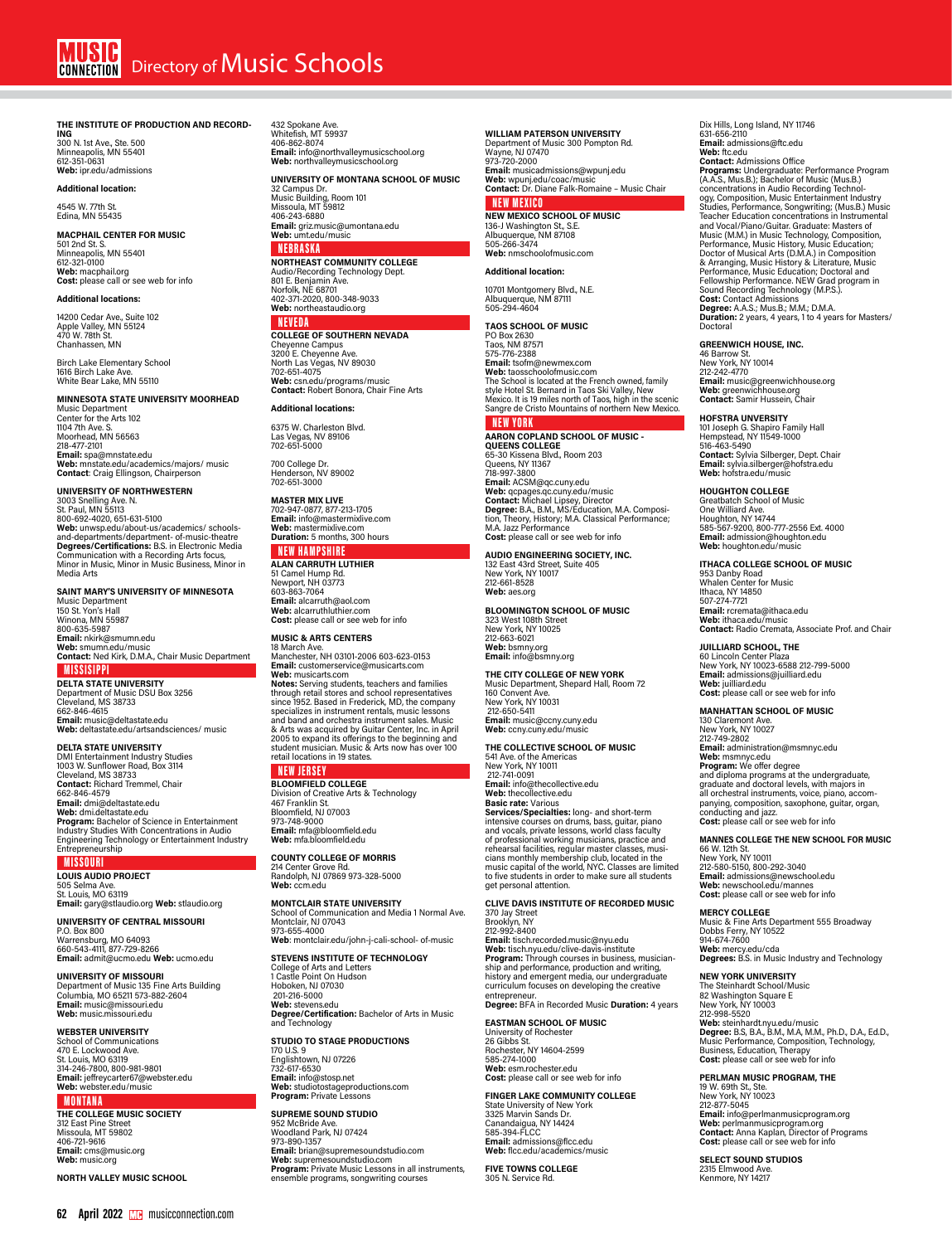## **THE INSTITUTE OF PRODUCTION AND RECORD-ING**<br>300 N. 1st Ave., Ste. 500<br>Minneapolis, MN 55401<br>612-351-0631

**Web:** ipr.edu/admissions **Additional location:** 

4545 W. 77th St. Edina, MN 55435

**MACPHAIL CENTER FOR MUSIC**  501 2nd St. S. Minneapolis, MN 55401 612-321-0100 **Web:** macphail.org **Cost:** please call or see web for info

#### **Additional locations:**

14200 Cedar Ave., Suite 102 Apple Valley, MN 55124 470 W. 78th St. Chanhassen, MN

Birch Lake Elementary School 1616 Birch Lake Ave. White Bear Lake, MN 55110

#### **MINNESOTA STATE UNIVERSITY MOORHEAD**

Music Department Center for the Arts 102 1104 7th Ave. S. Moorhead, MN 56563 218-477-2101 **Email:** spa@mnstate.edu<br>**Web:** mnstate.edu/academics/majors/ music<br>**Contact**: Craig Ellingson, Chairperson

**UNIVERSITY OF NORTHWESTERN**  3003 Snelling Ave. N. St. Paul, MN 55113 800-692-4020, 651-631-5100 **Web:** unwsp.edu/about-us/academics/ schoolsand-departments/department- of-music-theatre<br>**Degrees/Certifications**: B.S. in Electronic Media<br>Communication with a Recording Arts focus,<br>Minor in Music, Minor in Music Business, Minor in Media Arts

**SAINT MARY'S UNIVERSITY OF MINNESOTA**<br>Music Department<br>150 St. Yon's Hall Winona, MN 55987 800-635-5987 **Email:** nkirk@smumn.edu **Web:** smumn.edu/music<br>**Contact:** Ned Kirk, D.M.A., Chair Music Department

### MISSISIPPI

**DELTA STATE UNIVERSITY**  Department of Music DSU Box 3256 Cleveland, MS 38733 662-846-4615 **Email:** music@deltastate.edu **Web:** deltastate.edu/artsandsciences/ music

#### **DELTA STATE UNIVERSITY**

DMI Entertainment Industry Studies 1003 W. Sunflower Road, Box 3114 Cleveland, MS 38733 **Contact:** Richard Tremmel, Chair 662-846-4579<br>Email: dmi@deltastate.edu **Email:** dmi@deltastate.edu<br>**Web:** dmi.deltastate.edu<br>**Program:** Bachelor of Science in Entertainment<br>Industry Studies With Concentrations in Audio<br>Entrepreneurship<br>Entrepreneurship

### MISSOURI

**LOUIS AUDIO PROJECT**  505 Selma Ave. St. Louis, MO 63119 **Email:** gary@stlaudio.org **Web:** stlaudio.org

**UNIVERSITY OF CENTRAL MISSOURI** P.O. Box 800 Warrensburg, MO 64093 660-543-4111, 877-729-8266 **Email:** admit@ucmo.edu **Web:** ucmo.edu

#### **UNIVERSITY OF MISSOURI**

Department of Music 135 Fine Arts Building Columbia, MO 65211 573-882-2604 **Email:** music@missouri.edu **Web:** music.missouri.edu

**WEBSTER UNIVERSITY**  School of Communications 470 E. Lockwood Ave. St. Louis, MO 63119 314-246-7800, 800-981-9801<br>**Email:** jeffreycarter67@webster.edu<br>**Web:** webster.edu/music

#### MONTANA

**THE COLLEGE MUSIC SOCIETY**  312 East Pine Street Missoula, MT 59802 406-721-9616 **Email:** cms@music.org **Web:** music.org

**NORTH VALLEY MUSIC SCHOOL** 

432 Spokane Ave. Whitefish, MT 59937 406-862-8074 **Email:** info@northvalleymusicschool.org **Web:** northvalleymusicschool.org

**UNIVERSITY OF MONTANA SCHOOL OF MUSIC**  32 Campus Dr. Music Building, Room 101 Missoula, MT 59812 406-243-6880

**Email:** griz.music@umontana.edu **Web:** umt.edu/music NEBRASKA

**NORTHEAST COMMUNITY COLLEGE** Audio/Recording Technology Dept. 801 E. Benjamin Ave. Norfolk, NE 68701 402-371-2020, 800-348-9033 **Web:** northeastaudio.org

#### NEVEDA

**COLLEGE OF SOUTHERN NEVADA**  Cheyenne Campus 3200 E. Cheyenne Ave. North Las Vegas, NV 89030<br>702-651-4075<br>**Web**: csn.edu/programs/music<br>**Contact:** Robert Bonora, Chair Fine Arts

#### **Additional locations:**

6375 W. Charleston Blvd. Las Vegas, NV 89106 702-651-5000

700 College Dr. Henderson, NV 89002 702-651-3000

**MASTER MIX LIVE**  702-947-0877, 877-213-1705 **Email:** info@mastermixlive.com **Web:** mastermixlive.com **Duration:** 5 months, 300 hours NEW HAMPSHIRE

### **ALAN CARRUTH LUTHIER**

51 Camel Hump Rd. Newport, NH 03773 603-863-7064 **Email:** alcarruth@aol.com **Cost:** please call or see web for info

**MUSIC & ARTS CENTERS**<br>18 March Ave.<br>Manchester, NH 03101-2006 603-623-0153 **Email:** customerservice@musicarts.com **Web:** musicarts.com **Notes:** Serving students, teachers and families through retail stores and school representatives since 1952. Based in Frederick, MD, the company specializes in instrument rentals, music lessons and band and orchestra instrument sales. Music & Arts was acquired by Guitar Center, Inc. in April 2005 to expand its offerings to the beginning and student musician. Music & Arts now has over 100

#### retail locations in 19 states. NEW JERSEY

**BLOOMFIELD COLLEGE**  Division of Creative Arts & Technology 467 Franklin St. Bloomfield, NJ 07003<br>973-748-9000<br>**Email:** mfa@bloomfield.edu<br>**Web:** mfa.bloomfield.edu

## **COUNTY COLLEGE OF MORRIS**

214 Center Grove Rd. Randolph, NJ 07869 973-328-5000 **Web:** ccm.edu **MONTCLAIR STATE UNIVERSITY** 

School of Communication and Media 1 Normal Ave. Montclair, NJ 07043 973-655-4000<br>**Web**: montclair.edu/john-j-cali-school- of-music

### **STEVENS INSTITUTE OF TECHNOLOGY**

College of Arts and Letters 1 Castle Point On Hudson Hoboken, NJ 07030 201-216-5000 **Web:** stevens.edu **Degree/Certification:** Bachelor of Arts in Music and Technology

#### **STUDIO TO STAGE PRODUCTIONS**

170 U.S. 9 Englishtown, NJ 07226 732-617-6530 **Email:** info@stosp.net **Web:** studiotostageproductions.com **Program:** Private Lessons

### **SUPREME SOUND STUDIO**  952 McBride Ave. Woodland Park, NJ 07424

973-890-1357 **Email:** brian@supremesoundstudio.com<br>**Web:** supremesoundstudio.com<br>**Program**: Private Music Lessons in all instruments,<br>ensemble programs, songwriting courses

### **WILLIAM PATERSON UNIVERSITY**

Department of Music 300 Pompton Rd. Wayne, NJ 07470 973-720-2000 **Email:** musicadmissions@wpunj.edu **Web:** wpunj.edu/coac/music **Contact:** Dr. Diane Falk-Romaine – Music Chair

NEW MEXICO **NEW MEXICO SCHOOL OF MUSIC** 

136-J Washington St., S.E. Albuquerque, NM 87108 505-266-3474 **Web:** nmschoolofmusic.com

### **Additional location:**

10701 Montgomery Blvd., N.E. Albuquerque, NM 87111 505-294-4604

**TAOS SCHOOL OF MUSIC** 

PO Box 2630 Taos, NM 87571 575-776-2388 **Email:** tsofm@newmex.com<br>**Web:** taosschoolofmusic.com<br>The School is located at the French owned, family<br>style Hotel St. Bernard in Taos Ski Valley, New<br>Mexico. It is 19 miles north of Taos, high in the scenic Sangre de Cristo Mountains of northern New Mexico. NEW YORK

**AARON COPLAND SCHOOL OF MUSIC - QUEENS COLLEGE**<br>65-30 Kissena Blvd, Room 203<br>Queens, NY 11367<br>**Email**: ACSM@qc.cuny.edu<br>**Web:** qcpages.gc.cuny.edu/music<br>**Contact:** Michael Lipsey, Director<br>**Contact:** Michael Lipsey, Director<br>**Degree:** B.A., B.M., MS/Edu **Cost:** please call or see web for info

#### **AUDIO ENGINEERING SOCIETY, INC.**

132 East 43rd Street, Suite 405 New York, NY 10017 212-661-8528 **Web:** aes.org

**BLOOMINGTON SCHOOL OF MUSIC** 323 West 108th Street New York, NY 10025 212-663-6021 **Web:** bsmny.org<br>**Email:** info@bsmny.org

**THE CITY COLLEGE OF NEW YORK<br>Music Department, Shepard Hall, Room 72<br>160 Convent Ave.<br>New York, NY 10031**  212-650-5411 **Email:** music@ccny.cuny.edu **Web:** ccny.cuny.edu/music

### **THE COLLECTIVE SCHOOL OF MUSIC**

541 Ave. of the Americas New York, NY 10011 212-741-0091 **Email:** info@thecollective.edu Web: thecollective.edu<br>**Basic rate:** Various **Basic rate:** Various<br> **Savices:** Various<br> **Services:** Specialties: long- and short-term<br>
intensive courses on drums, bass, guitar, piano<br>
of professional working musicians, practice and<br>
of professional working musicians, get personal attention.

**CLIVE DAVIS INSTITUTE OF RECORDED MUSIC** 370 Jay Street Brooklyn, NY 212-992-8400 **Email:** tisch.recorded.music@nyu.edu **Web:** tisch.nyu.edu/clive-davis-institute **Program:** Through courses in business, musicianship and performance, production and writing, history and emergent media, our undergraduate curriculum focuses on developing the creative entrepren

**Degree:** BFA in Recorded Music **Duration:** 4 years **EASTMAN SCHOOL OF MUSIC** 

University of Rochester 26 Gibbs St. Rochester, NY 14604-2599 585-274-1000 **Web:** esm.rochester.edu **Cost:** please call or see web for info

### **FINGER LAKE COMMUNITY COLLEGE** State University of New York 3325 Marvin Sands Dr. Canandaigua, NY 14424 585-394-FLCC **Email:** admissions@flcc.edu **Web:** flcc.edu/academics/music

**FIVE TOWNS COLLEGE**  305 N. Service Rd.

Dix Hills, Long Island, NY 11746 631-656-2110 **Email:** admissions@ftc.edu **Web:** ftc.edu Contact: Admissions Office<br>Programs: Undergraduate: Performance Program<br>(A.A.S., Mus.B.); Bachelor of Music (Mus.B.)<br>concentrations in Audio Recording Technol-<br>ogy, Composition, Music Entertainment Industry<br>Studies, Perfor

Music (M.M.) in Music Technology, Composition,<br>Performance, Music History, Music Education;<br>Doctor of Musical Arts (D.M.A.) in Composition<br>& Arranging, Music Education; Doctoral and<br>Performance, Music Education; Doctoral a Fellowship Performance. NEW Grad program in<br>Sound Recording Technology (M.P.S.).<br>**Cost:** Contact Admissions<br>**Degree:** A.A.S.; Mus.B.; M.M.; D.M.A. **Duration:** 2 years, 4 years, 1 to 4 years for Masters/ Doctoral

#### **GREENWICH HOUSE, INC.**

46 Barrow St. New York, NY 10014 212-242-4770 **Email:** music@greenwichhouse.org **Web:** greenwichhouse.org **Contact:** Samir Hussein, Chair

**HOFSTRA UNVERSITY**<br>101 Joseph G. Shapiro Family Hall<br>Hempstead, NY 11549-1000 516-463-5490 **Contact:** Sylvia Silberger, Dept. Chair **Email:** sylvia.silberger@hofstra.edu **Web:** hofstra.edu/music

## **HOUGHTON COLLEGE**

Greatbatch School of Music One Williard Ave. Houghton, NY 14744 585-567-9200, 800-777-2556 Ext. 4000 **Email:** admission@houghton.edu **Web:** houghton.edu/music

### **ITHACA COLLEGE SCHOOL OF MUSIC**

953 Danby Road Whalen Center for Music Ithaca, NY 14850 507-274-7721 **Email:** rcremata@ithaca.edu<br>**Web:** ithaca.edu/music<br>**Contact:** Radio Cremata, Associate Prof. and Chair

#### **JUILLIARD SCHOOL, THE**

60 Lincoln Center Plaza New York, NY 10023-6588 212-799-5000 **Email:** admissions@juilliard.edu<br>**Web:** juilliard.edu<br>**Cost:** please call or see web for info

#### **MANHATTAN SCHOOL OF MUSIC**

130 Claremont Ave. New York, NY 10027 212-749-2802 **Email:** administration@msmnyc.edu<br>**Web:** msmnyc.edu<br>**Web:** msmnyc.edu<br>graduate and ofcrares at the undergraduate,<br>graduate and doctoral levels, with majors in<br>all orchestral instruments, voice, piano, accom-<br>panying, com

### **MANNES COLLEGE THE NEW SCHOOL FOR MUSIC**

66 W. 12th St.<br>New York, NY 10011<br>212-580-5150, 800-292-3040<br>**Email:** admissions@newschool.edu **Cost:** please call or see web for info

**MERCY COLLEGE**  Music & Fine Arts Department 555 Broadway Dobbs Ferry, NY 10522 914-674-7600 **Web:** mercy.edu/cda **Degrees:** B.S. in Music Industry and Technology

#### **NEW YORK UNIVERSITY**

The Steinhardt School/Music 82 Washington Square E New York, NY 10003 212-998-5520 **Web:** steinhardt.nyu.edu/music<br>**Degre**e: B.S, B.A., B.M., M.A, M.M., Ph.D., D.A., Ed.D.,<br>Music Performance, Composition, Technology,<br>Business, Education, Therapy<br>**Cost:** please call or see web for info

#### **PERLMAN MUSIC PROGRAM, THE**

19 W. 69th St., Ste. New York, NY 10023 212-877-5045<br>**Email:** info@perlmanmusicprogram.org<br>**Web:** perlmanmusicprogram.org<br>**Contact:** Anna Kaplan, Director of Programs **Cost:** please call or see web for info

**SELECT SOUND STUDIOS**  2315 Elmwood Ave. Kenmore, NY 14217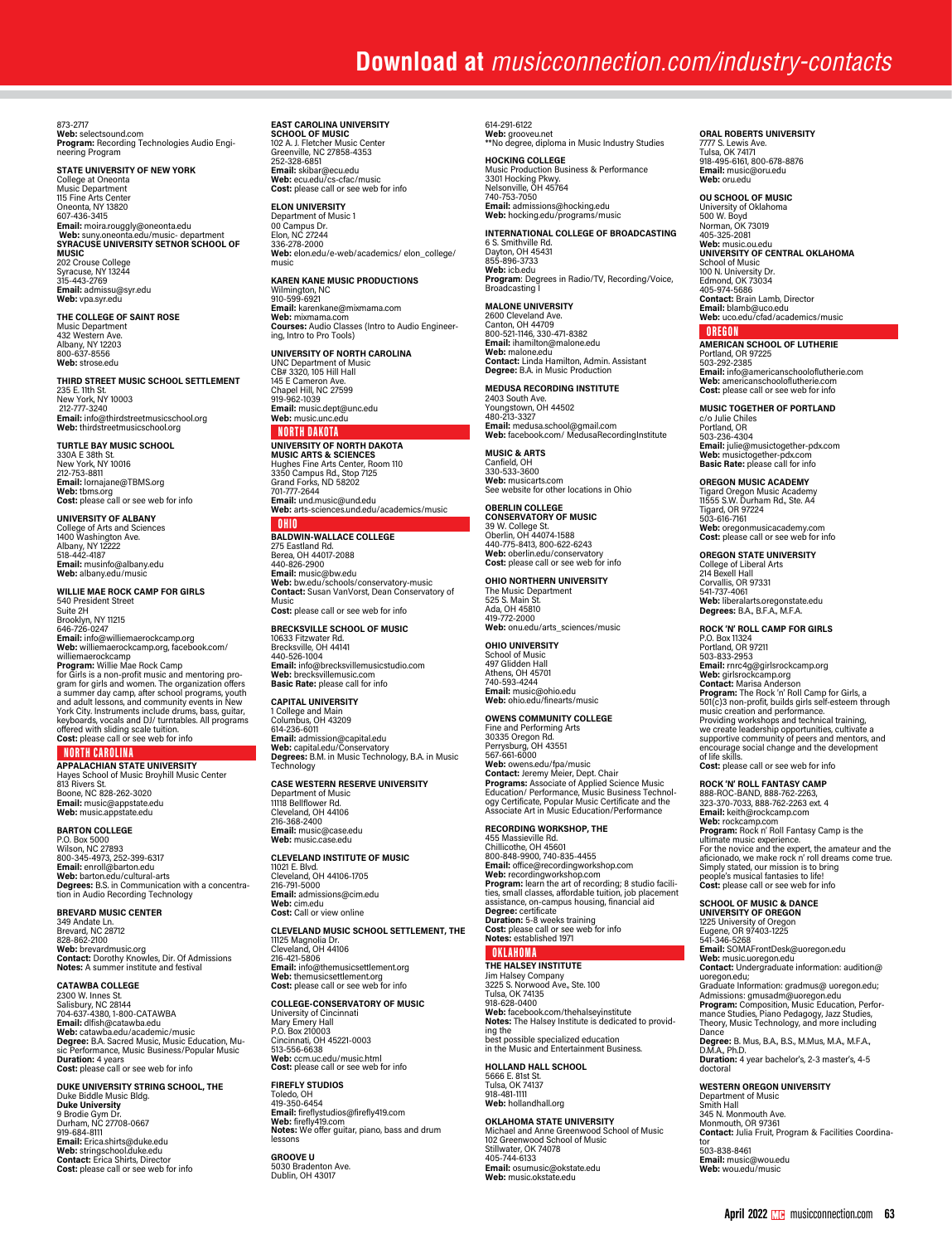## **Download at** *musicconnection.com/industry-contacts*

873-2717 **Web:** selectsound.com **Program:** Recording Technologies Audio Engi-<br>neering Program

#### **STATE UNIVERSITY OF NEW YORK**

College at Oneonta Music Department 115 Fine Arts Center Oneonta, NY 13820 607-436-3415 **Email:** moira.rouggly@oneonta.edu<br>Web: suny.oneonta.edu/music- department<br>SYRACUSE UNIVERSITY SETNOR SCHOOL OF<br>MUSIC 202 Crouse College Syracuse, NY 13244<br>315-443-2769<br>**Email:** admissu@syr.edu<br>**Web:** vpa.syr.edu

**THE COLLEGE OF SAINT ROSE**  Music Department<br>432 Western Ave. Albany, NY 12203 800-637-8556 **Web:** strose.edu

**THIRD STREET MUSIC SCHOOL SETTLEMENT** 235 E. 11th St. New York, NY 10003 212-777-3240 **Email:** info@thirdstreetmusicschool.org **Web:** thirdstreetmusicschool.org

**TURTLE BAY MUSIC SCHOOL**  330A E 38th St. New York, NY 10016 212-753-8811 **Email:** lornajane@TBMS.org **Web:** tbms.org **Cost:** please call or see web for info

UNIVERSITY OF ALBANY<br>College of Arts and Sciences<br>1400 Washington Ave.<br>Albany, NY 12222<br>**Email:** musinfo@albany.edu<br>**Email:** musinfo@albany.edu<br>**Web:** albany.edu/music

**WILLIE MAE ROCK CAMP FOR GIRLS<br>540 President Street<br>Suite 2H** Brooklyn, NY 11215<br>646-726-0247 646-726-0247 **Email:** info@williemaerockcamp.org **Web:** williemaerockcamp.org, facebook.com/ williemaerockcamp<br>**Program**: Willie Mae Rock Camp<br>for Girls is a non-profit music and mentoring pro-<br>gram for girls and women. The organization offers<br>a summer day camp, after school programs, youth<br>and adult lessons, and York City. Instruments include drums, bass, guitar, keyboards, vocals and DJ/ turntables. All programs offered with sliding scale tuition. **Cost:** please call or see web for info

### NORTH CAROLINA

**APPALACHIAN STATE UNIVERSITY**  Hayes School of Music Broyhill Music Center 813 Rivers St. Boone, NC 828-262-3020 **Email:** music@appstate.edu **Web:** music.appstate.edu

## **BARTON COLLEGE**  P.O. Box 5000

Wilson, NC 27893 800-345-4973, 252-399-6317 **Email:** enroll@barton.edu **Web:** barton.edu/cultural-arts **Degrees: B.S. in Communication with a concentration in Audio Recording Technology** 

**BREVARD MUSIC CENTER**  349 Andate Ln. Brevard, NC 28712 828-862-2100 **Web:** brevardmusic.org **Contact:** Dorothy Knowles, Dir. Of Admissions **Notes:** A summer institute and festival

**CATAWBA COLLEGE** 

2300 W. Innes St. Salisbury, NC 28144 704-637-4380, 1-800-CATAWBA **Email:** dlfish@catawba.edu<br>**Web:** catawba.edu/academic/music<br>**Degree:** B.A. Sacred Music, Music Education, Mu-<br>sic Performance, Music Business/Popular Music **Duration:** 4 years **Cost:** please call or see web for info

**DUKE UNIVERSITY STRING SCHOOL, THE** Duke Biddle Music Bldg. **Duke University**<br>9 Brodie Gym Dr.<br>Durham, NC 27708-0667 919-684-8111 **Email:** Erica.shirts@duke.edu **Web:** stringschool.duke.edu **Contact:** Erica Shirts, Director **Cost:** please call or see web for info

**EAST CAROLINA UNIVERSITY SCHOOL OF MUSIC** 102 A. J. Fletcher Music Center Greenville, NC 27858-4353 252-328-6851 **Email:** skibar@ecu.edu **Web:** ecu.edu/cs-cfac/music **Cost:** please call or see web for info

**ELON UNIVERSITY**  Department of Music 1 00 Campus Dr. Elon, NC 27244<br>336-278-2000<br>**Web:** elon.edu/e-web/academics/ elon\_college/ music

**KAREN KANE MUSIC PRODUCTIONS** Wilmington, NC 910-599-6921 **Email:** karenkane@mixmama.com<br>**Web: mi**xmama.com<br>**Courses:** Audio Classes (Intro to Audio Engineer-<br>ing, Intro to Pro Tools)

### **UNIVERSITY OF NORTH CAROLINA**

UNC Department of Music CB# 3320, 105 Hill Hall 145 E Cameron Ave. Chapel Hill, NC 27599 919-962-1039 **Email:** music.dept@unc.edu **Web:** music.unc.edu

### NORTH DAKOTA

**UNIVERSITY OF NORTH DAKOTA MUSIC ARTS & SCIENCES**  Hughes Fine Arts Center, Room 110 3350 Campus Rd., Stop 7125 Grand Forks, ND 58202 701-777-2644 **Email:** und.music@und.edu **Web:** arts-sciences.und.edu/academics/music

#### OHIO **BALDWIN-WALLACE COLLEGE**

275 Eastland Rd. Berea, OH 44017-2088 440-826-2900 **Email:** music@bw.edu **Web:** bw.edu/schools/conservatory-music<br>**Contact:** Susan VanVorst, Dean Conservatory of<br>Music **Cost:** please call or see web for info

**BRECKSVILLE SCHOOL OF MUSIC**  10633 Fitzwater Rd. Brecksville, OH 44141 440-526-1004 **Email:** info@brecksvillemusicstudio.com **Web:** brecksvillemusic.com **Basic Rate:** please call for info

**CAPITAL UNIVERSITY**  1 College and Main Columbus, OH 43209 614-236-6011 **Email:** admission@capital.edu **Web:** capital.edu/Conservatory<br>**Degrees:** B.M. in Music Technology, B.A. in Music<br>Technology

### **CASE WESTERN RESERVE UNIVERSITY**

Department of Music 11118 Bellflower Rd. Cleveland, OH 44106 216-368-2400 **Email:** music@case.edu **Web:** music.case.edu

### **CLEVELAND INSTITUTE OF MUSIC**  11021 E. Blvd. Cleveland, OH 44106-1705 216-791-5000

**Email:** admissions@cim.edu<br>**Web:** cim.edu<br>**Cost:** Call or view online

**CLEVELAND MUSIC SCHOOL SETTLEMENT, THE** 11125 Magnolia Dr. Cleveland, OH 44106 216-421-5806 **Email:** info@themusicsettlement.org **Web:** themusicsettlement.org **Cost:** please call or see web for info

### **COLLEGE-CONSERVATORY OF MUSIC**

University of Cincinnati Mary Emery Hall P.O. Box 210003 Cincinnati, OH 45221-0003 513-556-6638 **Web:** ccm.uc.edu/music.html **Cost:** please call or see web for info

**FIREFLY STUDIOS**  Toledo, OH 419-350-6454 **Email:** fireflystudios@firefly419.com<br> **Web:** firefly419.com<br> **Notes:** We offer guitar, piano, bass and drum<br> **Notes:** We offer guitar, piano, bass and drum

**GROOVE U**  5030 Bradenton Ave. Dublin, OH 43017

614-291-6122 **Web:** grooveu.net \*\*No degree, diploma in Music Industry Studies

**HOCKING COLLEGE<br>Music Production Business & Performance<br>3301 Hocking Pkwy.<br>Nelsonville, OH 45764** 740-753-7050 **Email:** admissions@hocking.edu **Web:** hocking.edu/programs/music

**INTERNATIONAL COLLEGE OF BROADCASTING** 6 S. Smithville Rd. Dayton, OH 45431 855-896-3733 **Web:** icb.edu **Program**: Degrees in Radio/TV, Recording/Voice, Broadcasting I

**MALONE UNIVERSITY** 

2600 Cleveland Ave. Canton, OH 44709 800-521-1146, 330-471-8382<br>**Email**: ihamilton@malone.edu<br>**Web:** malone.edu<br>**Contact:** Linda Hamilton, Admin. Assistant **Degree:** B.A. in Music Production

**MEDUSA RECORDING INSTITUTE**<br>2403 South Ave.<br>Youngstown, OH 44502<br>480-213-3327 **Email:** medusa.school@gmail.com **Web:** facebook.com/ MedusaRecordingInstitute

**MUSIC & ARTS**  Canfield, OH<br>330-533-3600<br>**Web**: musicarts.com<br>See website for other locations in Ohio

**OBERLIN COLLEGE CONSERVATORY OF MUSIC**  39 W. College St. Oberlin, OH 44074-1588 440-775-8413, 800-622-6243 Web: oberlin.edu/conservatory **Cost:** please call or see web for info

**OHIO NORTHERN UNIVERSITY** 

#### The Music Department 525 S. Main St. Ada, OH 45810 419-772-2000 **Web:** onu.edu/arts\_sciences/music

**OHIO UNIVERSITY**  School of Music 497 Glidden Hall Athens, OH 45701 740-593-4244 **Email:** music@ohio.edu **Web:** ohio.edu/finearts/music

### **OWENS COMMUNITY COLLEGE**

Fine and Performing Arts 30335 Oregon Rd. Perrysburg, OH 43551 567-661-6000 Web: owens.edu/fpa/music<br>Contact: Jeremy Meier, Dept. Chair<br>Programs: Associate of Applied Science Music<br>Education/ Performance, Music Business Technol-<br>ogy Certificate, Popular Music Certificate and the<br>Associate Art in M

## **RECORDING WORKSHOP, THE**  455 Massieville Rd. Chillicothe, OH 45601 800-848-9900, 740-835-4455

**Email:** office@recordingworkshop.com **Web:** recordingworkshop.com **Program:** learn the art of recording; 8 studio facili-<br>ties, small classes, affordable tuition, job placement assistance, on-campus housing, financial aid **Degree:** certificate **Duration:** 5-8 weeks training **Cost:** please call or see web for info **Notes:** established 1971

### OKLAHOMA

**THE HALSEY INSTITUTE**  Jim Halsey Company 3225 S. Norwood Ave., Ste. 100 Tulsa, OK 74135 918-628-0400 **Web:** facebook.com/thehalseyinstitute **Notes:** The Halsey Institute is dedicated to provid- ing the best possible specialized education in the Music and Entertainment Business.

**HOLLAND HALL SCHOOL**  5666 E. 81st St. Tulsa, OK 74137 918-481-1111 **Web:** hollandhall.org

**OKLAHOMA STATE UNIVERSITY<br>Michael and Anne Greenwood School of Music<br>102 Greenwood School of Music<br>Stillwater, OK 74078** 405-744-6133<br>**Email:** osumusic@okstate.edu **Email:** osumusic@okstate.edu **Web:** music.okstate.edu

#### **ORAL ROBERTS UNIVERSITY**

7777 S. Lewis Ave. Tulsa, OK 74171 918-495-6161, 800-678-8876 **Email:** music@oru.edu **Web:** oru.edu

#### **OU SCHOOL OF MUSIC**

University of Oklahoma 500 W. Boyd Norman, OK 73019 405-325-2081 **Web:** music.ou.edu **UNIVERSITY OF CENTRAL OKLAHOMA** School of Music 100 N. University Dr. Edmond, OK 73034 405-974-5686 **Contact:** Brain Lamb, Director **Email:** blamb@uco.edu **Web:** uco.edu/cfad/academics/music **OREGON** 

**AMERICAN SCHOOL OF LUTHERIE**  Portland, OR 97225 503-292-2385 **Email:** info@americanschooloflutherie.com **Web:** americanschooloflutherie.com **Cost:** please call or see web for info

**MUSIC TOGETHER OF PORTLAND** 

c/o Julie Chiles Portland, OR 503-236-4304 **Email:** julie@musictogether-pdx.com<br>**Web:** musictogether-pdx.com<br>**Basic Rate:** please call for info

**OREGON MUSIC ACADEMY**  Tigard Oregon Music Academy 11555 S.W. Durham Rd., Ste. A4 Tigard, OR 97224 503-616-7161 **Web:** oregonmusicacademy.com **Cost:** please call or see web for info

**OREGON STATE UNIVERSITY**  College of Liberal Arts 214 Bexell Hall Corvallis, OR 97331 541-737-4061 **Web:** liberalarts.oregonstate.edu **Degrees:** B.A., B.F.A., M.F.A.

#### **ROCK 'N' ROLL CAMP FOR GIRLS**

P.O. Box 11324 Portland, OR 97211 503-833-2953<br>**Email:** mrc4g@girlsrockcamp.org<br>**Web:** girlsrockcamp.org<br>**Contact:** Marisa Anderson<br>**Program:** The Rock 'n' Roll Camp for Girls, a<br>50(ic)3 non-profit, builds girls self-esteem through<br>music creation and perfo Providing workshops and technical training, we create leadership opportunities, cultivate a supportive community of peers and mentors, and encourage social change and the development of life skills. **Cost:** please call or see web for info

#### **ROCK 'N' ROLL FANTASY CAMP**  888-ROC-BAND, 888-762-2263, 323-370-7033, 888-762-2263 ext. 4

Email: keith@rockcamp.com<br>Web: rockcamp.com<br>Program: Rock ri Roll Fantasy Camp is the<br>ultimate music experience.<br>For the novice and the expert, the amateur and the<br>aficionado, we make rock n' roll dreams come true. Simply stated, our mission is to bring people's musical fantasies to life! **Cost:** please call or see web for info

### **SCHOOL OF MUSIC & DANCE UNIVERSITY OF OREGON**

1225 University of Oregon Eugene, OR 97403-1225 541-346-5268 **Email:** SOMAFrontDesk@uoregon.edu Web: music.uoregon.edu<br>**Contact:** Undergraduate information: audition@ Contact: Undergraduate information: audition@<br>Cordact: Undergraduate information: gradmus@ uoregon.edu;<br>Admissions: gmusadm@uoregon.edu<br>Program: Composition, Music Education, Perfor-<br>Program: Composition, Music Education, **Duration:** 4 year bachelor's, 2-3 master's, 4-5 doctoral

**WESTERN OREGON UNIVERSITY** 

Department of Music Smith Hall 345 N. Monmouth Ave. Monmouth, OR 97361 **Contact:** Julia Fruit, Program & Facilities Coordinator 503-838-8461

**Email:** music@wou.edu **Web:** wou.edu/music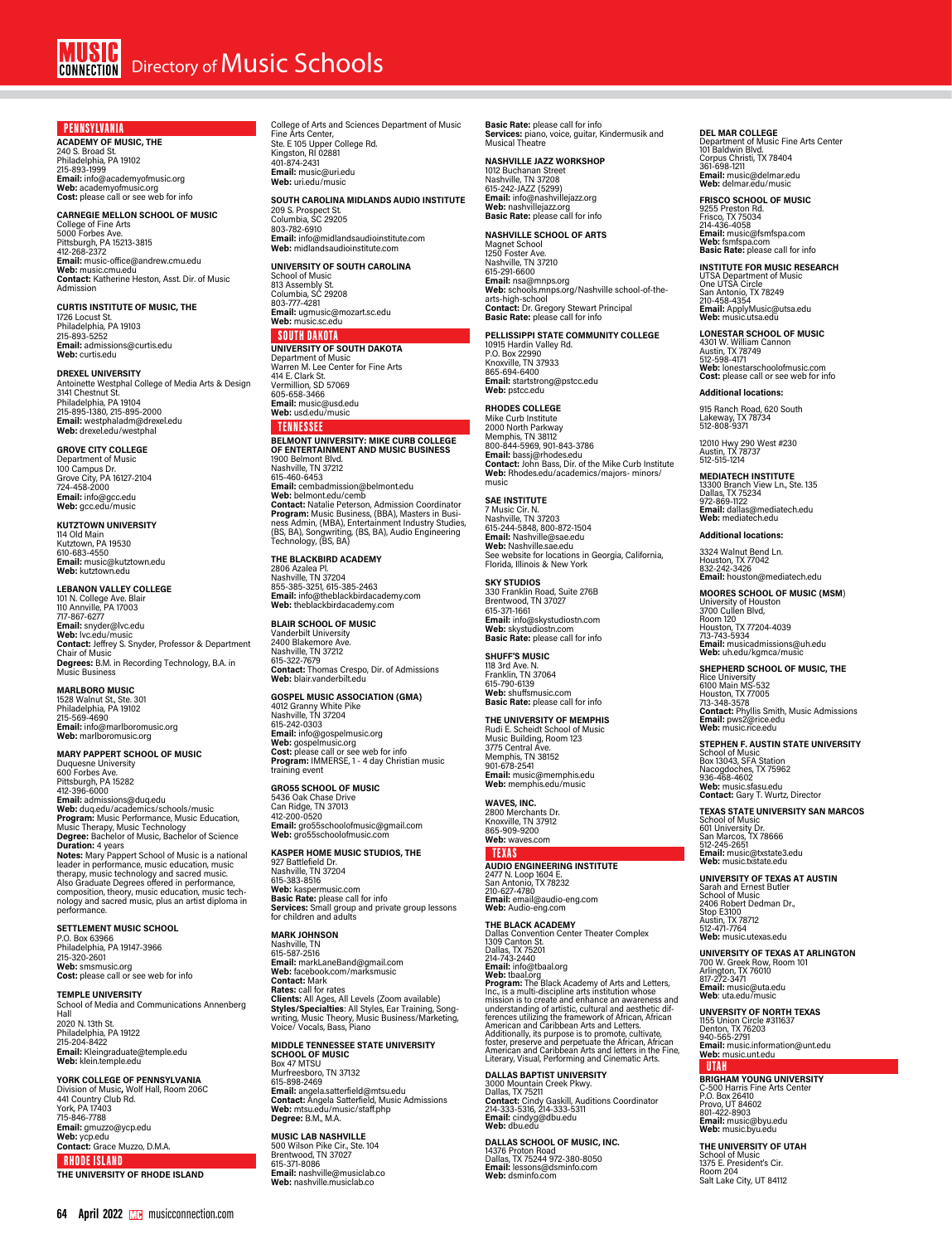## **MUSIC** Directory of Music Schools

#### PENNSYLVANIA

**ACADEMY OF MUSIC, THE**  240 S. Broad St. Philadelphia, PA 19102 215-893-1999 **Email:** info@academyofmusic.org **Web:** academyofmusic.org **Cost:** please call or see web for info

### **CARNEGIE MELLON SCHOOL OF MUSIC**  College of Fine Arts 5000 Forbes Ave. Pittsburgh, PA 15213-3815 412-268-2372 **Email:** music-office@andrew.cmu.edu

**Contact:** Katherine Heston, Asst. Dir. of Music<br>Admission

**CURTIS INSTITUTE OF MUSIC, THE**  1726 Locust St. Philadelphia, PA 19103 215-893-5252 **Email:** admissions@curtis.edu **Web:** curtis.edu

**DREXEL UNIVERSITY**  มหะละเ บพเพรทอเ เ<br>Antoinette Westphal College of Media Arts & Design<br>3141 Chestnut St 3141 Chestnut St. Philadelphia, PA 19104 215-895-1380, 215-895-2000

**Email:** westphaladm@drexel.edu **Web:** drexel.edu/westphal

**GROVE CITY COLLEGE**  Department of Music 100 Campus Dr. Grove City, PA 16127-2104 724-458-2000 **Email:** info@gcc.edu **Web:** gcc.edu/music

**KUTZTOWN UNIVERSITY**  114 Old Main Kutztown, PA 19530 610-683-4550 **Email:** music@kutztown.edu **Web:** kutztown.edu

### **LEBANON VALLEY COLLEGE**

101 N. College Ave. Blair 110 Annville, PA 17003 717-867-6277 **Email:** snyder@lvc.edu **Web:** lvc.edu/music **Contact:** Jeffrey S. Snyder, Professor & Department Chair of Music **Degrees:** B.M. in Recording Technology, B.A. in Music Business

#### **MARLBORO MUSIC**

1528 Walnut St., Ste. 301 Philadelphia, PA 19102 215-569-4690 **Email:** info@marlboromusic.org **Web:** marlboromusic.org

**MARY PAPPERT SCHOOL OF MUSIC** Duquesne University 600 Forbes Ave.

Pittsburgh, PA 15282 412-396-6000 **Email:** admissions@duq.edu **Web:** duq.edu/academics/schools/music **Program:** Music Performance, Music Education,<br>Music Therapy, Music Technology<br>**Degree:** Bachelor of Music, Bachelor of Science<br>**Duration:** 4 years **Notes:** Mary Pappert School of Music is a national leader in performance, music education, music therapy, music technology and sacred music. Also Graduate Degrees offered in performance, composition, theory, music education, music tech-nology and sacred music, plus an artist diploma in performance.

**SETTLEMENT MUSIC SCHOOL**  P.O. Box 63966 Philadelphia, PA 19147-3966 215-320-2601 **Web:** smsmusic.org **Cost:** please call or see web for info

#### **TEMPLE UNIVERSITY**

School of Media and Communications Annenberg Hall 2020 N. 13th St. Philadelphia, PA 19122 215-204-8422 **Email:** Kleingraduate@temple.edu **Web:** klein.temple.edu

## **YORK COLLEGE OF PENNSYLVANIA**

Division of Music**,** Wolf Hall, Room 206C 441 Country Club Rd. York, PA 17403 715-846-7788 **Email:** gmuzzo@ycp.edu **Web:** ycp.edu **Contact:** Grace Muzzo, D.M.A. RHODE ISLAND

**THE UNIVERSITY OF RHODE ISLAND**

College of Arts and Sciences Department of Music Fine Arts Center, Ste. E 105 Upper College Rd. Kingston, RI 02881 401-874-2431 **Email:** music@uri.edu **Web:** uri.edu/music

**SOUTH CAROLINA MIDLANDS AUDIO INSTITUTE**  209 S. Prospect St. Columbia, SC 29205 803-782-6910 **Email:** info@midlandsaudioinstitute.com **Web:** midlandsaudioinstitute.com

#### **UNIVERSITY OF SOUTH CAROLINA**  School of Musi

813 Assembly St. Columbia, SC 29208 803-777-4281 **Email:** ugmusic@mozart.sc.edu **Web:** music.sc.edu SOUTH DAKOTA

### **UNIVERSITY OF SOUTH DAKOTA**

Department of Music Warren M. Lee Center for Fine Arts 414 E. Clark St. Vermillion, SD 57069 605-658-3466 **Email:** music@usd.edu **Web:** usd.edu/music

### TENNESSEE

**BELMONT UNIVERSITY: MIKE CURB COLLEGE OF ENTERTAINMENT AND MUSIC BUSINESS** 1900 Belmont Blvd. Nashville, TN 37212 615-460-6453 **Email:** cembadmission@belmont.edu<br>Web: helmont.edu/cemb Web: belmontedu/cemb<br>Contact: Natalie Peterson, Admission Coordinator<br>Program: Music Business, (BBA), Masters in Busi-<br>ness Admin, (MBA), Entertainment Industry Studies,<br>(BS, BA), Songwriting, (BS, BA), Audio Engineering<br>T

**THE BLACKBIRD ACADEMY**  2806 Azalea Pl.

Nashville, TN 37204 855-385-3251, 615-385-2463 **Email:** info@theblackbirdacademy.com **Web:** theblackbirdacademy.com

**BLAIR SCHOOL OF MUSIC**  Vanderbilt University 2400 Blakemore Ave. Nashville, TN 37212 615-322-7679<br>**Contact:** Thomas Crespo, Dir. of Admissions<br>**Web:** blair.vanderbilt.edu

**GOSPEL MUSIC ASSOCIATION (GMA)** 4012 Granny White Pike Nashville, TN 37204 615-242-0303 **Email:** info@gospelmusic.org<br>**Web:** gospelmusic.org<br>**Cost:** please call or see web for info<br>**Program:** IMMERSE, 1 - 4 day Christian music ning event

**GRO55 SCHOOL OF MUSIC**  5436 Oak Chase Drive Can Ridge, TN 37013<br>412-200-0520<br>**Email:** gro55schoolofmusic@gmail.com<br>**Web:** gro55schoolofmusic.com

**KASPER HOME MUSIC STUDIOS, THE<br>927 Battlefield Dr.<br>Nashville, TN 37204** 615-383-8516 **Web:** kaspermusic.com **Basic Rate:** please call for info<br>**Services:** Small group and private group lessons<br>for children and adults

**MARK JOHNSON<br>Nashville, TN<br>615-587-2516<br><b>Email:** markLaneBand@gmail.com<br>**Web:** facebook.com/marksmusic **Contact:** Mark<br>**Rates:** call for rates<br>**Clients:** All Ages, All Levels (Zoom available)<br>**Styles/Specialties:** All Styles, Ear Training, Song-<br>writing, Music Theory, Music Business/Marketing,<br>Voice/ Vocals, Bass, Piano

#### **MIDDLE TENNESSEE STATE UNIVERSITY SCHOOL OF MUSIC** Box 47 MTSU

Murfreesboro, TN 37132 615-898-2469 **Email:** angela.satterfield@mtsu.edu **Contact:** Angela Satterfield, Music Admissions **Web:** mtsu.edu/music/staff.php **Degree:** B.M., M.A.

**MUSIC LAB NASHVILLE** 500 Wilson Pike Cir., Ste. 104 Brentwood, TN 37027 615-371-8086 **Email:** nashville@musiclab.co **Web:** nashville.musiclab.co **Basic Rate:** please call for info **Services:** piano, voice, guitar, Kindermusik and Musical Theatre

#### **NASHVILLE JAZZ WORKSHOP**

1012 Buchanan Street Nashville, TN 37208 615-242-JAZZ (5299) **Email:** info@nashvillejazz.org **Web:** nashvillejazz.org **Basic Rate:** please call for info

**NASHVILLE SCHOOL OF ARTS**  Magnet School 1250 Foster Ave. Nashville, TN 37210 615-291-6600<br>**Email**: nsa@mnps.org<br>**Web**: schools.mnps.org/Nashville school-of-the-<br>arts-high-school **Contact:** Dr. Gregory Stewart Principal **Basic Rate:** please call for info

**PELLISSIPPI STATE COMMUNITY COLLEGE<br>10915 Hardin Valley Rd.<br>P.O. Box 22990<br>Knoxville, TN 37933** 

865-694-6400 **Email:** startstrong@pstcc.edu **Web:** pstcc.edu

#### **RHODES COLLEGE**

Mike Curb Institute 2000 North Parkway Memphis, TN 38112 800-844-5969, 901-843-3786 **Email:** bassj@rhodes.edu<br>**Contact:** John Bass, Dir. of the Mike Curb Institute<br>**Web:** Rhodes.edu/academics/majors- minors/ music

**SAE INSTITUTE<br>7 Music Cir. N.<br>Nashville, TN 37203<br>615-244-5848, 800-872-1504** 

**Email:** Nashville@sae.edu<br>**Web:** Nashville.sae.edu<br>See website for locations in Georgia, California,<br>Florida, Illinois & New York

**SKY STUDIOS**  330 Franklin Road, Suite 276B Brentwood, TN 37027 615-371-1661 **Email:** info@skystudiostn.com **Web:** skystudiostn.com **Basic Rate:** please call for info

**SHUFF'S MUSIC**  118 3rd Ave. N. Franklin, TN 37064 615-790-6139 **Web:** shuffsmusic.com **Basic Rate:** please call for info

**THE UNIVERSITY OF MEMPHIS**  Rudi E. Scheidt School of Music Music Building, Room 123 3775 Central Ave. Memphis, TN 38152 901-678-2541 **Email:** music@memphis.edu **Web:** memphis.edu/music

**WAVES, INC.**  2800 Merchants Dr. Knoxville, TN 37912 865-909-9200 **Web:** waves.com

## TEXAS

**AUDIO ENGINEERING INSTITUTE<br>2477 N. Loop 1604 E.<br>San Antonio, TX 78232<br>210-627-4780 Email:** email@audio-eng.com **Web:** Audio-eng.com

**THE BLACK ACADEMY**<br>Dallas Convention Center Theater Complex<br>1309 Canton St.<br>Dallas, TX 75201 214-743-2440 **Email:** info@tbaal.org **Web:** tbaal.org **Program:** The Black Academy of Arts and Letters,<br>Inc., is a multi-discipline arts institution whose<br>mission is to create and enhance an awareness and<br>understanding of artistic, cultural and aesthetic dif-<br>ferences utilizi

#### **DALLAS BAPTIST UNIVERSITY**  3000 Mountain Creek Pkwy. Dallas, TX 75211 **Contact:** Cindy Gaskill, Auditions Coordinator 214-333-5316, 214-333-5311 **Email:** cindyg@dbu.edu **Web:** dbu.edu

**DALLAS SCHOOL OF MUSIC, INC.**  14376 Proton Road Dallas, TX 75244 972-380-8050 **Email:** lessons@dsminfo.com **Web:** dsminfo.com

**DEL MAR COLLEGE<br>Department of Music Fine Arts Center<br>101 Baldwin Blvd.<br>Corpus Christi, TX 78404<br>361-698-1211 Email:** music@delmar.edu **Web:** delmar.edu/music

**FRISCO SCHOOL OF MUSIC**  9255 Preston Rd. Frisco, TX 75034 214-436-4058

**Email:** music@fsmfspa.com **Web:** fsmfspa.com **Basic Rate:** please call for info

## **INSTITUTE FOR MUSIC RESEARCH**

UTSA Department of Music One UTSA Circle San Antonio, TX 78249 210-458-4354 **Email:** ApplyMusic@utsa.edu **Web:** music.utsa.edu

**LONESTAR SCHOOL OF MUSIC**<br>4301 W. William Cannon<br>Austin, TX 78749<br>512-598-4171 **Web:** lonestarschoolofmusic.com **Cost:** please call or see web for info

#### **Additional locations:**

915 Ranch Road, 620 South Lakeway, TX 78734 512-808-9371

12010 Hwy 290 West #230 Austin, TX 78737 512-515-1214

**MEDIATECH INSTITUTE**<br>13300 Branch View Ln., Ste. 135<br>Dallas, TX 75234<br>**Email:** dallas@mediatech.edu<br>**Email:** dallas@mediatech.edu<br>**Web:** mediatech.edu

**Additional locations:** 

3324 Walnut Bend Ln.<br>Houston, TX 77042<br>832-242-3426<br>**Email:** houston@mediatech.edu

## **MOORES SCHOOL OF MUSIC (MSM**) University of Houston 3700 Cullen Blvd, Room 120<br>Houston, TX 77204-4039<br>713-743-5934<br>**Email:** musicadmissions@uh.edu<br>**Web:** uh.edu/kgmca/music

**SHEPHERD SCHOOL OF MUSIC, THE** Rice University 6100 Main MS-532 Houston, TX 77005 713-348-3578 **Contact:** Phyllis Smith, Music Admissions **Email:** pws2@rice.edu **Web:** music.rice.edu

### **STEPHEN F. AUSTIN STATE UNIVERSITY** School of Music Box 13043, SFA Station Nacogdoches, TX 75962 936-468-4602 **Web:** music.sfasu.edu **Contact:** Gary T. Wurtz, Director

**TEXAS STATE UNIVERSITY SAN MARCOS**<br>School of Music<br>601 University Dr.<br>San Marcos, TX 78666<br>512-245-2651<br>**Email:** music.txstate.adu<br>**Web:** music.txstate.edu<br>**Web:** music.txstate.edu

**UNIVERSITY OF TEXAS AT AUSTIN**<br>Sarah and Ernest Butler<br>2406 Robert Dedman Dr.,<br>2406 Robert Dedman Dr.,<br>Stop E3100<br>Stop E3100<br>Austin, TX 78712<br>**Web:** music.utexas.edu<br>W**eb:** music.utexas.edu

**UNIVERSITY OF TEXAS AT ARLINGTON** 700 W. Greek Row, Room 101<br>Arlington, TX 76010<br>817-272-3471<br>**Email:** music@uta.edu<br>**Web**: uta.edu/music

**UNVERSITY OF NORTH TEXAS**<br>1155 Union Circle #311637<br>Denton, TX 76203<br><del>940-565-2791</del><br>**Email:** music.unt.edu<br>**Web:** music.unt.edu

### UTAH

**BRIGHAM YOUNG UNIVERSITY**  C-500 Harris Fine Arts Center<br>P.O. Box 26410<br>Provo, UT 84602<br>801-422-8903<br>**Email:** music.@byu.edu<br>**Web:** music.byu.edu

**THE UNIVERSITY OF UTAH**  School of Music 1375 E. President's Cir. Room 204 Salt Lake City, UT 84112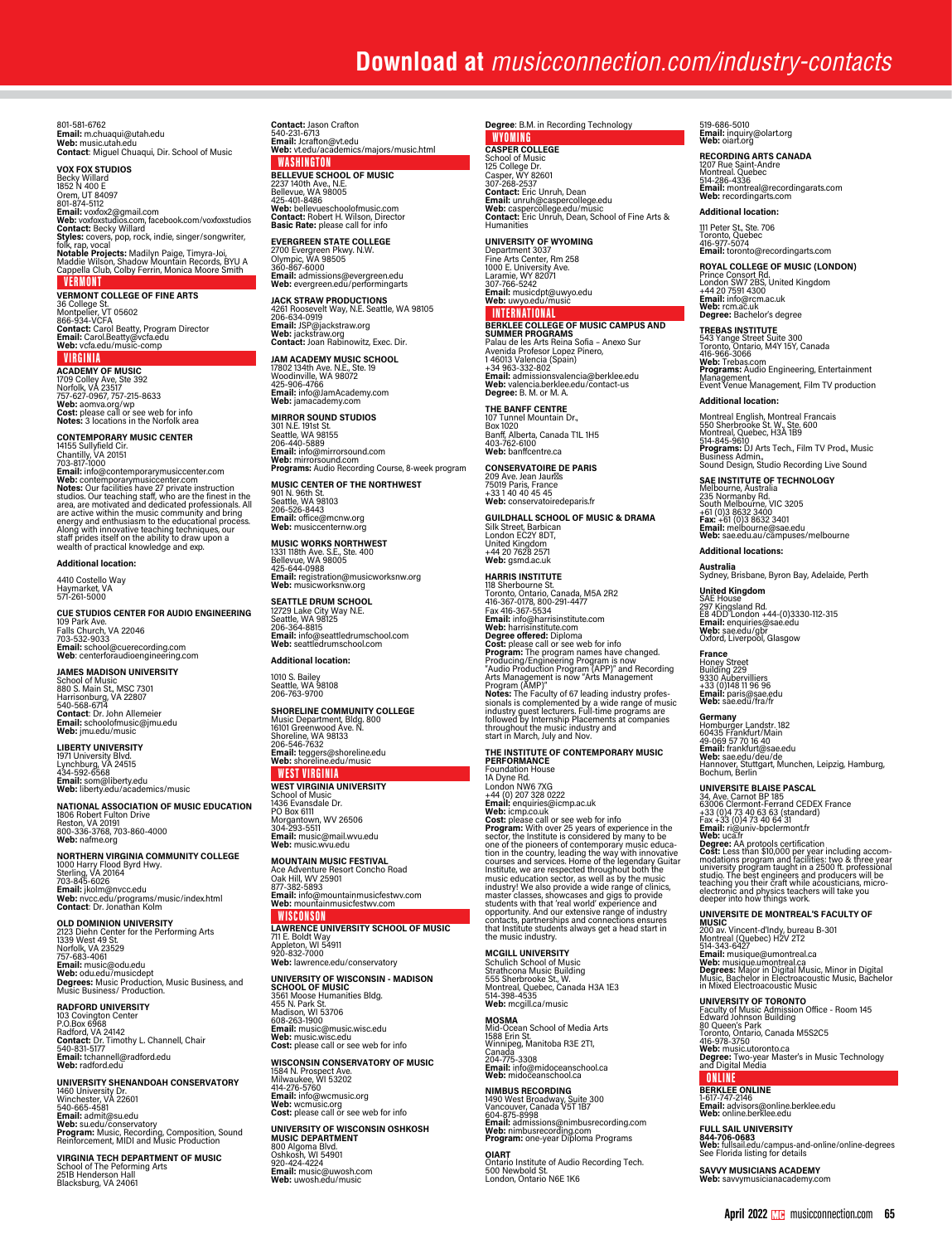## **Download at** *musicconnection.com/industry-contacts*

801-581-6762 **Email:** m.chuaqui@utah.edu **Web:** music.utah.edu **Contact**: Miguel Chuaqui, Dir. School of Music

VOX FOX STUDIOS<br>Becky Willard<br>Becky Willard<br>BOI N3 - 400 E<br>BOI-874-5112<br>BOI-874-5112<br>Web: voxfoxstudios.com, facebook.com/voxfoxstudios<br>**Styles:** covers, pop, rock, indie, singer/songwriter,<br>folk, rap, vocal **Notable Projects:** Madilyn Paige, Timyra-Joi,<br>Maddie Wilson, Shadow Mountain Records, BYU A<br><u>Cappella Club, Colby Ferrin, Monica Moore Smith</u> VERMONT

**VERMONT COLLEGE OF FINE ARTS** 36 College St.<br>Montpelier, VT 05602<br>866-934-VCFA<br>**Contact:** Carol Beatty, Program Director<br>**Email:** Carol.Beatty@vcfa.edu<br>**Web:** vcfa.edu/music-comp

#### VIRGINIA

**ACADEMY OF MUSIC**  1709 Colley Ave, Ste 392 Norfolk, VA 23517 757-627-0967, 757-215-8633 **Web:**  $a$ omva.,  $75$ -213-6033<br> **Cost:** please call or see web for info **Cost:** please call or see web for info **Notes:** 3 locations in the Norfolk area

**CONTEMPORARY MUSIC CENTER**  14155 Sullyfield Cir. Chantilly, VA 20151

703-817-1000<br>**Email:** info@contemporarymusiccenter.com<br>**Web:** contemporarymusiccenter.com<br>**Notes:** Our facilities have 27 private instruction<br>studios. Our teaching staff, who are the finest in the<br>stree, are motivated and

**Additional location:** 

4410 Costello Way Haymarket, VA 571-261-5000

**CUE STUDIOS CENTER FOR AUDIO ENGINEERING** 109 Park Ave. Falls Church, VA 22046 703-532-9033 **Email:** school@cuerecording.com **Web**: centerforaudioengineering.com

### **JAMES MADISON UNIVERSITY**

School of Music 880 S. Main St., MSC 7301 Harrisonburg, VA 22807 540-568-6714 **Contact**: Dr. John Allemeier **Email:** schoolofmusic@jmu.edu **Web:** jmu.edu/music

**LIBERTY UNIVERSITY**  1971 University Blvd. Lynchburg, VA 24515 434-592-6568 **Email:** som@liberty.edu **Web:** liberty.edu/academics/music

**NATIONAL ASSOCIATION OF MUSIC EDUCATION** 1806 Robert Fulton Drive Reston, VA 20191 800-336-3768, 703-860-4000 **Web:** nafme.org

**NORTHERN VIRGINIA COMMUNITY COLLEGE<br>1000 Harry Flood Byrd Hwy.<br>Sterling, VA 20164<br>703-845-6026 Email:** jkolm@nvcc.edu **Web:** nvcc.edu/programs/music/index.html **Contact**: Dr. Jonathan Kolm

#### **OLD DOMINION UNIVERSITY**

2123 Diehn Center for the Performing Arts 1339 West 49 St. Norfolk, VA 23529 757-683-4061 **Email:** music@odu.edu<br>**Web:** odu.edu/musicdept **Degrees:** Music Production, Music Business, and<br>Music Business/ Production.

**RADFORD UNIVERSITY<br>103 Covington Center<br>P.O.Box 6968<br>Radford, VA 24142<br><b>Contact:** Dr. Timothy L. Channell, Chair<br>540-831-5177 **Email:** tchannell@radford.edu **Web:** radford.edu

**UNIVERSITY SHENANDOAH CONSERVATORY<br>1460 University Dr.<br>Winchester, VA 22601<br>540-665-4581 Email:** admit@su.edu **Web:** su.edu/conservatory **Program:** Music, Recording, Composition, Sound<br>Reinforcement, MIDI and Music Production

**VIRGINIA TECH DEPARTMENT OF MUSIC** School of The Peforming Arts 251B Henderson Hall Blacksburg, VA 24061

Contact: Jason Crafton<br>540-231-6713<br>**Email:** Jcrafton@vt.edu **Email:** Jcrafton@vt.edu **Web:** vt.edu/academics/majors/music.html WASHINGTON

**BELLEVUE SCHOOL OF MUSIC** 

2237 140th Ave., N.E. Bellevue, WA 98005 425-401-8486 **Web:** bellevueschoolofmusic.com **Contact:** Robert H. Wilson, Director **Basic Rate:** please call for info

**EVERGREEN STATE COLLEGE**  2700 Evergreen Pkwy. N.W.<br>Olympic, WA 98505<br>360-867-6000<br>**Email:** admissions@evergreen.edu<br>**Web:** evergreen.edu/performingarts

**JACK STRAW PRODUCTIONS**  4261 Roosevelt Way, N.E. Seattle, WA 98105

206-634-0919<br>**Email:** JSP@jackstraw.org<br>**Web:** jackstraw.org<br>**Contact:** Joan Rabinowitz, Exec. Dir.

**JAM ACADEMY MUSIC SCHOOL**  17802 134th Ave. N.E., Ste. 19 Woodinville, WA 98072 425-906-4766 **Email:** info@JamAcademy.com **Web:** jamacademy.com

**MIRROR SOUND STUDIOS<br>301 N.E. 191st St.<br>Seattle, WA 98155<br><b>Email:** info@mirrorsound.com<br>**Web:** mirrorsound.com<br>**Web:** mirrorsound.com<br>**Programs:** Audio Recording Course, 8-week program

**MUSIC CENTER OF THE NORTHWEST<br>901 N. 96th St.<br>Seattle, WA 98103<br>206-526-8443<br><b>Email:** office@mcnw.org<br>**Web:** musiccenternw.org **MUSIC WORKS NORTHWEST**  1331 118th Ave. S.E., Ste. 400 Bellevue, WA 98005

425-644-0988<br>**Email:** registration@musicworksnw.org<br>**Web:** musicworksnw.org

**SEATTLE DRUM SCHOOL**<br>12729 Lake City Way N.E.<br>Seattle, WA 98125 206-364-8815 **Email:** info@seattledrumschool.com **Web:** seattledrumschool.com

### **Additional location:**

1010 S. Bailey Seattle, WA 98108 206-763-9700

**SHORELINE COMMUNITY COLLEGE** Music Department, Bldg. 800 16101 Greenwood Ave. N. Shoreline, WA 98133 206-546-7632 **Email:** teggers@shoreline.edu **Web:** shoreline.edu/music

## WEST VIRGINIA

**WEST VIRGINIA UNIVERSITY** 

School of Music<br>1436 Evansdale Dr.<br>PO Box 6111<br>Morgantown, WV 26506<br>**Smail:** music.@mail.wvu.edu<br>**Email:** music.wvu.edu

# **MOUNTAIN MUSIC FESTIVAL**<br>Ace Adventure Resort Concho Road<br>0ak Hill, WV 25901<br>877-382-5893<br>**Email:** info@mountainmusicfestwv.com<br>**Web:** mountainmusicfestwv.com

**WISCONSON** 

**LAWRENCE UNIVERSITY SCHOOL OF MUSIC** 711 E. Boldt Way Appleton, WI 54911 920-832-7000 **Web:** lawrence.edu/conservatory

UNIVERSITY OF WISCONSIN - MADISON<br>SCHOOL OF MUSIC<br>455 Moose Humanities Bldg.<br>455 M. Park St.<br>Madison, WI 53706<br>Madison, WI 53706<br>**Email:** music@music.wisc.edu<br>**Web:** music.wisc.edu<br>**Cost:** please call or see web for info

**WISCONSIN CONSERVATORY OF MUSIC** 1584 N. Prospect Ave. Milwaukee, WI 53202 414-276-5760 **Email:** info@wcmusic.org **Web:** wcmusic.org **Cost:** please call or see web for info

**UNIVERSITY OF WISCONSIN OSHKOSH MUSIC DEPARTMENT**  800 Algoma Blvd. Oshkosh, WI 54901 920-424-4224

**Email:** music@uwosh.com **Web:** uwosh.edu/music

#### **Degree**: B.M. in Recording Technology WYOMING

**CASPER COLLEGE**  School of Music 125 College Dr. Casper, WY 82601 307-268-2537 **Contact: Eric Unruh, Dean<br>
<b>Email:** unruh@caspercollege.edu<br> **Web:** caspercollege.edu/music<br> **Contact:** Eric Unruh, Dean, School of Fine Arts &<br> **Contact:** Eric Unruh, Dean, School of Fine Arts &<br>
Humanities

**UNIVERSITY OF WYOMING**<br>Department 3037<br>Fine Arts Center, Rm 258<br>1000 E. University Ave.<br>Laramie, WY 82071<br>Email: musicdpt@uwyo.edu<br>**Email:** musicdpt@uwyo.edu<br>**Web:** uwyo.edu/music

**INTERNATIONAL<br>BERKLEE COLLEGE OF MUSIC CAMPUS AND<br>SUMMER PROGRAMS**<br>Palau de les Arts Reina Sofia – Anexo Sur<br>Avenida Profesor Lopez Pinero,<br>4-34 963-332-802<br>Email: admissionsvalencia@berklee.edu<br>Email: admissionsvalencia@

**THE BANFF CENTRE**  107 Tunnel Mountain Dr., Box 1020 Banff, Alberta, Canada T1L 1H5 403-762-6100 **Web:** banffcentre.ca

**CONSERVATOIRE DE PARIS**  209 Ave. Jean Jaur s<br>75019 Paris, France<br>+33 1 40 40 45 45<br>**Web:** conservatoiredeparis.fr

**GUILDHALL SCHOOL OF MUSIC & DRAMA<br>Silk Street, Barbican<br>London EC2Y 8DT,<br>United Kingdom** +44 20 7628 2571 **Web:** gsmd.ac.uk

#### **HARRIS INSTITUTE**

118 Sherbourne St. Toronto, Ontario, Canada, M5A 2R2 416-367-0178, 800-291-4477 Fax 416-367-5534 **Email:** info@harrisinstitute.com<br>**Web:** harrisinstitute.com<br>**Degree offered:** Diploma<br>**Cost:** please call or see web for info **Program: Th**e program names have changed.<br>**Producing/Engineering Program is now**<br>"Audio Production Program (APP)" and Recording<br>Arts Management is now "Arts Management<br>Program (AMP)"<br>Notes: The Faculty of 67 leading indus

## **THE INSTITUTE OF CONTEMPORARY MUSIC PERFORMANCE**

Foundation House 1A Dyne Rd. London NW6 7XG +44 (0) 207 328 0222 **Email:** enquiries@icmp.ac.uk **Web:** icmp.co.uk **Cost:** please call or see web for info **Program:** With over 25 years of experience in the sector, the Institute is considered by many to be one of the pioneers of contemporary music educa-<br>tion in the country, leading the way with innovative<br>courses and services. Home of the legendary Guitar<br>music education sector, as well as by the music<br>music education secto

#### **MCGILL UNIVERSITY**

Schulich School of Music<br>Strathcona Music Building<br>555 Sherbrooke St., W.<br>Montreal, Quebec, Canada H3A 1E3<br>514-398-4535<br>**Web:** mcgill.ca/music

**MOSMA**<br>Mid-Ocean School of Media Arts<br>1588 Erin St.<br>Cinnada<br>C04-775-3308 **Email:** info@midoceanschool.ca **Web:** midoceanschool.ca

**NIMBUS RECORDING**  1490 West Broadway, Suite 300<br>Vancouver, Canada V5T 1B7<br>604-875-8998<br>**Email:** admissions@nimbusrecording.com<br>**Web: nimbusrecording.com<br><b>Program:** one-year Diploma Programs

**OIART**<br>Ontario Institute of Audio Recording Tech.<br>500 Newbold St.<br>London, Ontario N6E 1K6

## 519-686-5010 **Email:** inquiry@olart.org **Web:** oiart.org

**RECORDING ARTS CANADA**<br>1207 Rue Saint-Andre **Montreal. Quebec** 

514-286-4336 **Email:** montreal@recordingarats.com **Web:** recordingarts.com

### **Additional location:**

111 Peter St., Ste. 706<br>Toronto, Quebec<br>416-977-5074<br>**Email:** toronto@recordingarts.com

**ROYAL COLLEGE OF MUSIC (LONDON)** Prince Consort Rd.<br>London SW7 2BS, United Kingdom<br>+44 20 7591 4300<br>**Email:** info@rcm.ac.uk<br>**Web:** rcm.ac.uk<br>**Degree:** Bachelor's degree

**TREBAS INSTITUTE**<br>543 Yange Street Suite 300<br>Toronto, Ontario, M4Y 15Y, Canada<br><u>41</u>6-966-3066 **Web:** Trebas.com **Programs:** Audio Engineering, Entertainment Management, Management,<br>Event Venue Management, Film TV production

**Additional location:** 

Montreal English, Montreal Francais<br>550 Sherbrooke St. W., Ste. 600<br>Montreal, Quebec, H3A 1B9<br>**Programs:** DJ Arts Tech., Film TV Prod., Music<br>**Programs:** DJ Arts Tech., Film TV Prod., Music<br>Sound Design, Studio Recording L

**SAE INSTITUTE OF TECHNOLOGY**  Melbourne, Australia 235 Normanby Rd. South Melbourne, VIC 3205  $+61$  (0)3 8632 3400<br>**Fax:**  $+61$  (0)3 8632 3401 **Fax:** +61 (0)3 8632 3401 **Email:** melbourne@sae.edu **Web:** sae.edu.au/campuses/melbourne

**Additional locations:** 

**Australia**  Sydney, Brisbane, Byron Bay, Adelaide, Perth

**United Kingdom**  SAE House 297 Kingsland Rd. E8 4DD London +44-(0)3330-112-315 **Web:** sae.edu/gbr<br>Oxford, Liverpool, Glasgow

**France**<br>Honey Street<br>Building 229<br>9330 Aubervilliers<br><del>Lan</del>ail: paris@sae.edu<br>**Emai**l: paris@sae.edu<br>**Web:** sae.edu/fra/fr

**Germany**<br>Homburger Landstr. 182<br>60435 Frankfurt/Main 49-069 57 70 16 40<br>**Emai**l: frankfurt@sae.edu<br>**Web:** sae.edu/deu/de<br>Hannover, Stuttgart, Munchen, Leipzig, Hamburg,<br>Bochum, Berlin

### **UNIVERSITE BLAISE PASCAL**

34, Ave. Carnot BP 185 63006 Clermont-Ferrand CEDEX France +33 (0)4 73 40 63 63 (standard) Fax +33 (0)4 73 40 64 31 **Email:** ri@univ-bpclermont.fr<br>**Cheire** in Colomic Construction<br>**Oost:** Less than \$10,000 per year including accommodations program and facilities: two & three year<br>university program anglation and facilities: two & three

### **UNIVERSITE DE MONTREAL'S FACULTY OF MUSIC**

200 av. Vincent-d'Indy, bureau B-301 Montreal (Quebec) H2V 2T2 514-343-6427 **Email:** musique@umontreal.ca<br>**Web:** musique@umontreal.ca<br>**Degrees:** Major in Digital Music, Minor in Digital<br>Music, Bachelor in Electroacoustic Music<br>in Mixed Electroacoustic Music<br>in Mixed Electroacoustic Music

UNIVERSITY OF TORONTO<br>Faculty of Music Admission Office - Room 145<br>Edward Johnson Building<br>80 Queen's Park<br>Toronto, Ontario, Canada M5S2C5<br>416-978-3750<br>Web: music.utoronto.ca<br>Degree: Two-year Master's in Music Technology<br>a

#### ONLINE

**BERKLEE ONLINE**  1-617-747-2146 **Email:** advisors@online.berklee.edu **Web:** online.berklee.edu

**FULL SAIL UNIVERSITY 844-706-0683**<br>**Web:** fullsail.edu/campus-and-online/online-degrees<br>See Florida listing for details

**SAVVY MUSICIANS ACADEMY Web:** savvymusicianacademy.com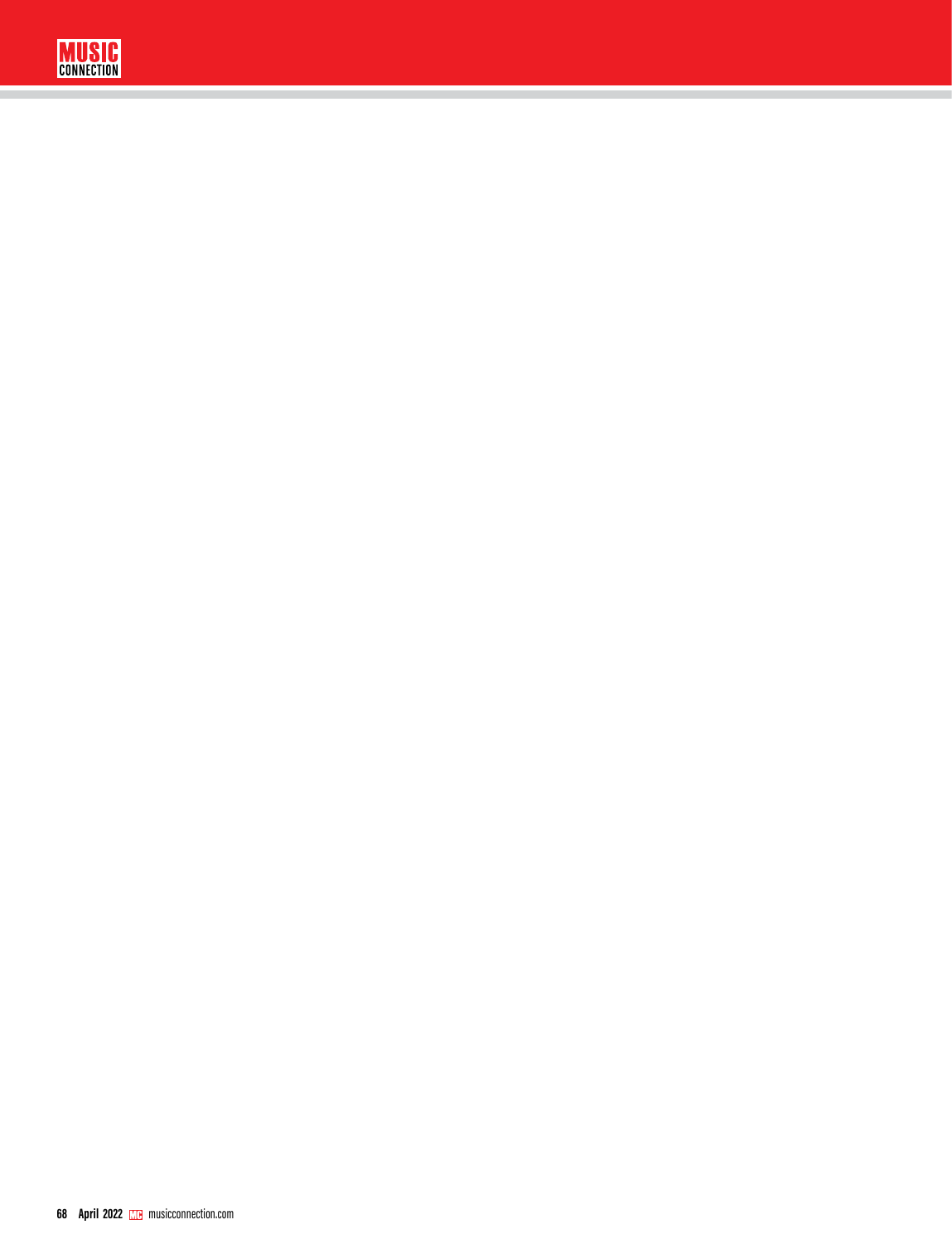